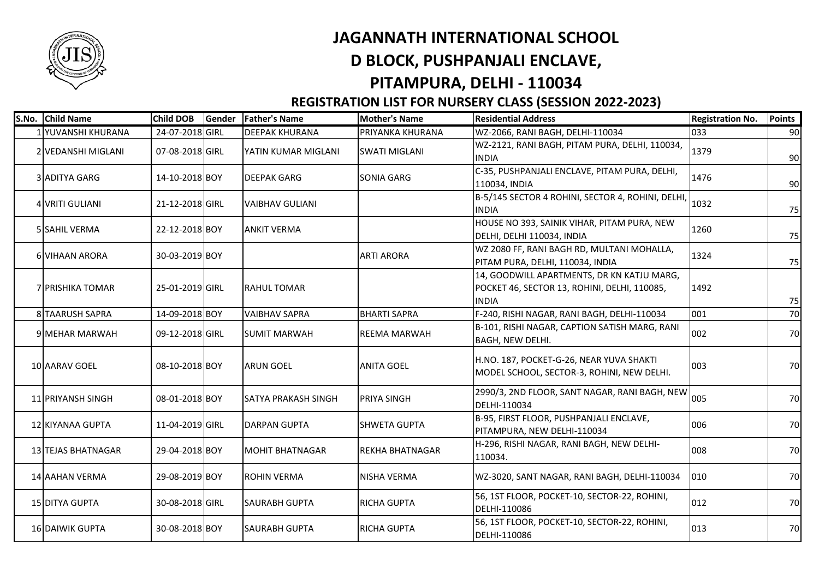

## **JAGANNATH INTERNATIONAL SCHOOL D BLOCK, PUSHPANJALI ENCLAVE,**

## **PITAMPURA, DELHI - 110034**

## **REGISTRATION LIST FOR NURSERY CLASS (SESSION 2022-2023)**

| S.No. Child Name          | <b>Child DOB</b> | Gender | <b>Father's Name</b>       | <b>Mother's Name</b>   | <b>Residential Address</b>                                                                                 | <b>Registration No.</b> | Points |
|---------------------------|------------------|--------|----------------------------|------------------------|------------------------------------------------------------------------------------------------------------|-------------------------|--------|
| 1 YUVANSHI KHURANA        | 24-07-2018 GIRL  |        | <b>DEEPAK KHURANA</b>      | PRIYANKA KHURANA       | WZ-2066, RANI BAGH, DELHI-110034                                                                           | 033                     | 90     |
| 2 VEDANSHI MIGLANI        | 07-08-2018 GIRL  |        | YATIN KUMAR MIGLANI        | <b>SWATI MIGLANI</b>   | WZ-2121, RANI BAGH, PITAM PURA, DELHI, 110034,<br><b>INDIA</b>                                             | 1379                    | 90     |
| 3 ADITYA GARG             | 14-10-2018 BOY   |        | <b>DEEPAK GARG</b>         | SONIA GARG             | C-35, PUSHPANJALI ENCLAVE, PITAM PURA, DELHI,<br>110034, INDIA                                             | 1476                    | 90     |
| 4 VRITI GULIANI           | 21-12-2018 GIRL  |        | <b>VAIBHAV GULIANI</b>     |                        | B-5/145 SECTOR 4 ROHINI, SECTOR 4, ROHINI, DELHI,<br><b>INDIA</b>                                          | 1032                    | 75     |
| <b>5 SAHIL VERMA</b>      | 22-12-2018 BOY   |        | <b>ANKIT VERMA</b>         |                        | HOUSE NO 393, SAINIK VIHAR, PITAM PURA, NEW<br>DELHI, DELHI 110034, INDIA                                  | 1260                    | 75     |
| <b>6 VIHAAN ARORA</b>     | 30-03-2019 BOY   |        |                            | <b>ARTI ARORA</b>      | WZ 2080 FF, RANI BAGH RD, MULTANI MOHALLA,<br>PITAM PURA, DELHI, 110034, INDIA                             | 1324                    | 75     |
| <b>7 PRISHIKA TOMAR</b>   | 25-01-2019 GIRL  |        | <b>RAHUL TOMAR</b>         |                        | 14, GOODWILL APARTMENTS, DR KN KATJU MARG,<br>POCKET 46, SECTOR 13, ROHINI, DELHI, 110085,<br><b>INDIA</b> | 1492                    | 75     |
| 8 TAARUSH SAPRA           | 14-09-2018 BOY   |        | <b>VAIBHAV SAPRA</b>       | <b>BHARTI SAPRA</b>    | F-240, RISHI NAGAR, RANI BAGH, DELHI-110034                                                                | 001                     | 70     |
| <b>9 MEHAR MARWAH</b>     | 09-12-2018 GIRL  |        | <b>SUMIT MARWAH</b>        | <b>REEMA MARWAH</b>    | B-101, RISHI NAGAR, CAPTION SATISH MARG, RANI<br><b>BAGH, NEW DELHI.</b>                                   | 002                     | 70     |
| 10 AARAV GOEL             | 08-10-2018 BOY   |        | <b>ARUN GOEL</b>           | <b>ANITA GOEL</b>      | H.NO. 187, POCKET-G-26, NEAR YUVA SHAKTI<br>MODEL SCHOOL, SECTOR-3, ROHINI, NEW DELHI.                     | 003                     | 70     |
| 11 PRIYANSH SINGH         | 08-01-2018 BOY   |        | <b>SATYA PRAKASH SINGH</b> | PRIYA SINGH            | 2990/3, 2ND FLOOR, SANT NAGAR, RANI BAGH, NEW 005<br>DELHI-110034                                          |                         | 70     |
| 12 KIYANAA GUPTA          | 11-04-2019 GIRL  |        | <b>DARPAN GUPTA</b>        | <b>SHWETA GUPTA</b>    | B-95, FIRST FLOOR, PUSHPANJALI ENCLAVE,<br>PITAMPURA, NEW DELHI-110034                                     | 006                     | 70     |
| <b>13 TEJAS BHATNAGAR</b> | 29-04-2018 BOY   |        | <b>MOHIT BHATNAGAR</b>     | <b>REKHA BHATNAGAR</b> | H-296, RISHI NAGAR, RANI BAGH, NEW DELHI-<br>110034.                                                       | 008                     | 70     |
| 14 AAHAN VERMA            | 29-08-2019 BOY   |        | <b>ROHIN VERMA</b>         | <b>NISHA VERMA</b>     | WZ-3020, SANT NAGAR, RANI BAGH, DELHI-110034                                                               | 010                     | 70     |
| 15 DITYA GUPTA            | 30-08-2018 GIRL  |        | <b>SAURABH GUPTA</b>       | <b>RICHA GUPTA</b>     | 56, 1ST FLOOR, POCKET-10, SECTOR-22, ROHINI,<br>DELHI-110086                                               | 012                     | 70     |
| <b>16 DAIWIK GUPTA</b>    | 30-08-2018 BOY   |        | <b>SAURABH GUPTA</b>       | <b>RICHA GUPTA</b>     | 56, 1ST FLOOR, POCKET-10, SECTOR-22, ROHINI,<br>DELHI-110086                                               | 013                     | 70     |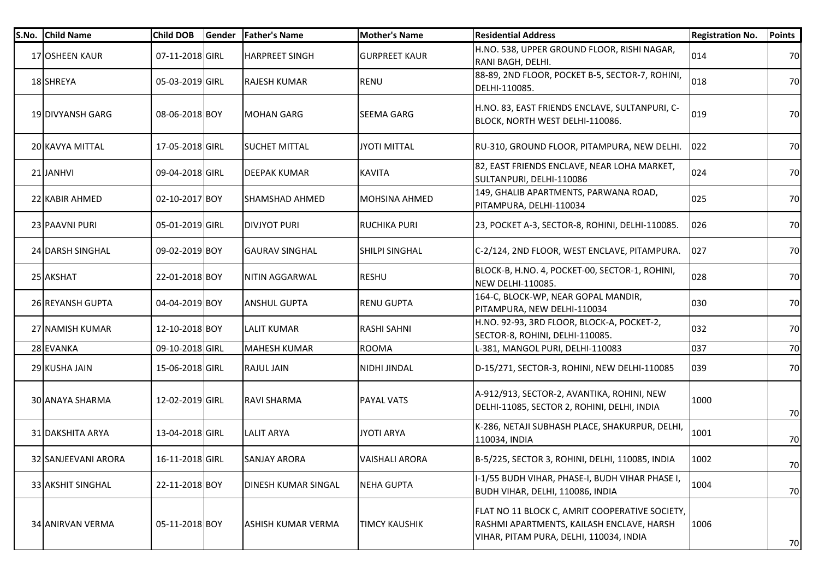| S.No. | <b>Child Name</b>       | <b>Child DOB</b> | Gender | <b>Father's Name</b>       | <b>Mother's Name</b>  | <b>Residential Address</b>                                                                                                             | <b>Registration No.</b> | <b>Points</b> |
|-------|-------------------------|------------------|--------|----------------------------|-----------------------|----------------------------------------------------------------------------------------------------------------------------------------|-------------------------|---------------|
|       | 17 OSHEEN KAUR          | 07-11-2018 GIRL  |        | <b>HARPREET SINGH</b>      | <b>GURPREET KAUR</b>  | H.NO. 538, UPPER GROUND FLOOR, RISHI NAGAR,<br>RANI BAGH, DELHI.                                                                       | 014                     | 70            |
|       | 18 SHREYA               | 05-03-2019 GIRL  |        | <b>RAJESH KUMAR</b>        | <b>RENU</b>           | 88-89, 2ND FLOOR, POCKET B-5, SECTOR-7, ROHINI,<br>DELHI-110085.                                                                       | 018                     | 70            |
|       | 19 DIVYANSH GARG        | 08-06-2018 BOY   |        | <b>MOHAN GARG</b>          | <b>SEEMA GARG</b>     | H.NO. 83, EAST FRIENDS ENCLAVE, SULTANPURI, C-<br>BLOCK, NORTH WEST DELHI-110086.                                                      | 019                     | 70            |
|       | 20 KAVYA MITTAL         | 17-05-2018 GIRL  |        | <b>SUCHET MITTAL</b>       | JYOTI MITTAL          | RU-310, GROUND FLOOR, PITAMPURA, NEW DELHI.                                                                                            | 022                     | 70            |
|       | 21 JANHVI               | 09-04-2018 GIRL  |        | DEEPAK KUMAR               | <b>KAVITA</b>         | 82, EAST FRIENDS ENCLAVE, NEAR LOHA MARKET,<br>SULTANPURI, DELHI-110086                                                                | 024                     | 70            |
|       | 22 KABIR AHMED          | 02-10-2017 BOY   |        | SHAMSHAD AHMED             | <b>MOHSINA AHMED</b>  | 149, GHALIB APARTMENTS, PARWANA ROAD,<br>PITAMPURA, DELHI-110034                                                                       | 025                     | 70            |
|       | 23 PAAVNI PURI          | 05-01-2019 GIRL  |        | <b>DIVJYOT PURI</b>        | <b>RUCHIKA PURI</b>   | 23, POCKET A-3, SECTOR-8, ROHINI, DELHI-110085.                                                                                        | 026                     | 70            |
|       | 24 DARSH SINGHAL        | 09-02-2019 BOY   |        | <b>GAURAV SINGHAL</b>      | <b>SHILPI SINGHAL</b> | C-2/124, 2ND FLOOR, WEST ENCLAVE, PITAMPURA.                                                                                           | 027                     | 70            |
|       | 25 AKSHAT               | 22-01-2018 BOY   |        | NITIN AGGARWAL             | <b>RESHU</b>          | BLOCK-B, H.NO. 4, POCKET-00, SECTOR-1, ROHINI,<br><b>NEW DELHI-110085.</b>                                                             | 028                     | 70            |
|       | 26 REYANSH GUPTA        | 04-04-2019 BOY   |        | <b>ANSHUL GUPTA</b>        | <b>RENU GUPTA</b>     | 164-C, BLOCK-WP, NEAR GOPAL MANDIR,<br>PITAMPURA, NEW DELHI-110034                                                                     | 030                     | 70            |
|       | 27 NAMISH KUMAR         | 12-10-2018 BOY   |        | <b>LALIT KUMAR</b>         | <b>RASHI SAHNI</b>    | H.NO. 92-93, 3RD FLOOR, BLOCK-A, POCKET-2,<br>SECTOR-8, ROHINI, DELHI-110085.                                                          | 032                     | 70            |
|       | 28 EVANKA               | 09-10-2018 GIRL  |        | <b>MAHESH KUMAR</b>        | <b>ROOMA</b>          | L-381, MANGOL PURI, DELHI-110083                                                                                                       | 037                     | 70            |
|       | 29 KUSHA JAIN           | 15-06-2018 GIRL  |        | <b>RAJUL JAIN</b>          | NIDHI JINDAL          | D-15/271, SECTOR-3, ROHINI, NEW DELHI-110085                                                                                           | 039                     | 70            |
|       | <b>30 ANAYA SHARMA</b>  | 12-02-2019 GIRL  |        | RAVI SHARMA                | <b>PAYAL VATS</b>     | A-912/913, SECTOR-2, AVANTIKA, ROHINI, NEW<br>DELHI-11085, SECTOR 2, ROHINI, DELHI, INDIA                                              | 1000                    | 70            |
|       | 31 DAKSHITA ARYA        | 13-04-2018 GIRL  |        | <b>LALIT ARYA</b>          | <b>JYOTI ARYA</b>     | K-286, NETAJI SUBHASH PLACE, SHAKURPUR, DELHI,<br>110034, INDIA                                                                        | 1001                    | 70            |
|       | 32 SANJEEVANI ARORA     | 16-11-2018 GIRL  |        | <b>SANJAY ARORA</b>        | <b>VAISHALI ARORA</b> | B-5/225, SECTOR 3, ROHINI, DELHI, 110085, INDIA                                                                                        | 1002                    | 70            |
|       | 33 AKSHIT SINGHAL       | 22-11-2018 BOY   |        | <b>DINESH KUMAR SINGAL</b> | <b>NEHA GUPTA</b>     | I-1/55 BUDH VIHAR, PHASE-I, BUDH VIHAR PHASE I,<br>BUDH VIHAR, DELHI, 110086, INDIA                                                    | 1004                    | 70            |
|       | <b>34 ANIRVAN VERMA</b> | 05-11-2018 BOY   |        | <b>ASHISH KUMAR VERMA</b>  | <b>TIMCY KAUSHIK</b>  | FLAT NO 11 BLOCK C, AMRIT COOPERATIVE SOCIETY,<br>RASHMI APARTMENTS, KAILASH ENCLAVE, HARSH<br>VIHAR, PITAM PURA, DELHI, 110034, INDIA | 1006                    | 70            |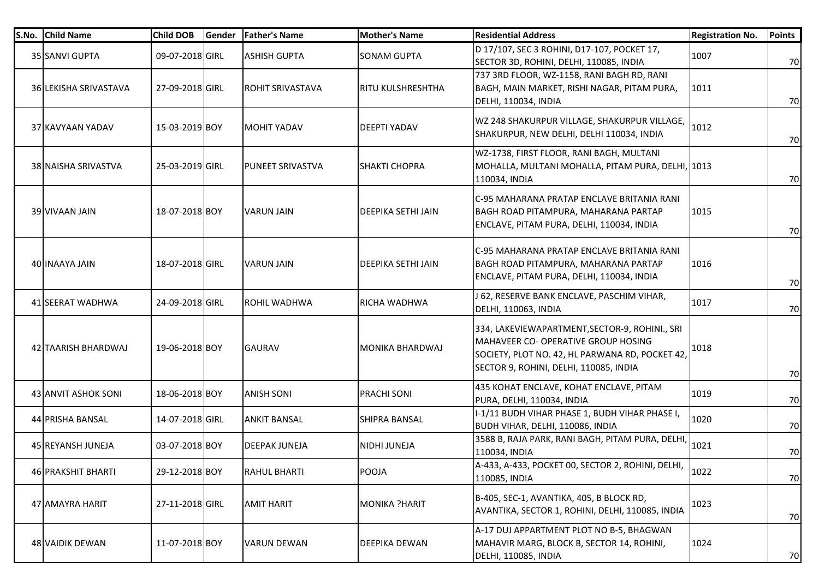| S.No. | <b>Child Name</b>     | <b>Child DOB</b> | Gender | <b>Father's Name</b>    | <b>Mother's Name</b> | <b>Residential Address</b>                                                                                                                                                         | <b>Registration No.</b> | <b>Points</b> |
|-------|-----------------------|------------------|--------|-------------------------|----------------------|------------------------------------------------------------------------------------------------------------------------------------------------------------------------------------|-------------------------|---------------|
|       | 35 SANVI GUPTA        | 09-07-2018 GIRL  |        | <b>ASHISH GUPTA</b>     | <b>SONAM GUPTA</b>   | D 17/107, SEC 3 ROHINI, D17-107, POCKET 17,<br>SECTOR 3D, ROHINI, DELHI, 110085, INDIA                                                                                             | 1007                    | 70            |
|       | 36 LEKISHA SRIVASTAVA | 27-09-2018 GIRL  |        | <b>ROHIT SRIVASTAVA</b> | RITU KULSHRESHTHA    | 737 3RD FLOOR, WZ-1158, RANI BAGH RD, RANI<br>BAGH, MAIN MARKET, RISHI NAGAR, PITAM PURA,<br>DELHI, 110034, INDIA                                                                  | 1011                    | 70            |
|       | 37 KAVYAAN YADAV      | 15-03-2019 BOY   |        | <b>MOHIT YADAV</b>      | DEEPTI YADAV         | WZ 248 SHAKURPUR VILLAGE, SHAKURPUR VILLAGE,<br>SHAKURPUR, NEW DELHI, DELHI 110034, INDIA                                                                                          | 1012                    | 70            |
|       | 38 NAISHA SRIVASTVA   | 25-03-2019 GIRL  |        | <b>PUNEET SRIVASTVA</b> | <b>SHAKTI CHOPRA</b> | WZ-1738, FIRST FLOOR, RANI BAGH, MULTANI<br>MOHALLA, MULTANI MOHALLA, PITAM PURA, DELHI, 1013<br>110034, INDIA                                                                     |                         | 70            |
|       | 39 VIVAAN JAIN        | 18-07-2018 BOY   |        | <b>VARUN JAIN</b>       | DEEPIKA SETHI JAIN   | C-95 MAHARANA PRATAP ENCLAVE BRITANIA RANI<br>BAGH ROAD PITAMPURA, MAHARANA PARTAP<br>ENCLAVE, PITAM PURA, DELHI, 110034, INDIA                                                    | 1015                    | 70            |
|       | 40 INAAYA JAIN        | 18-07-2018 GIRL  |        | <b>VARUN JAIN</b>       | DEEPIKA SETHI JAIN   | C-95 MAHARANA PRATAP ENCLAVE BRITANIA RANI<br>BAGH ROAD PITAMPURA, MAHARANA PARTAP<br>ENCLAVE, PITAM PURA, DELHI, 110034, INDIA                                                    | 1016                    | 70            |
|       | 41 SEERAT WADHWA      | 24-09-2018 GIRL  |        | <b>ROHIL WADHWA</b>     | RICHA WADHWA         | J 62, RESERVE BANK ENCLAVE, PASCHIM VIHAR,<br><b>DELHI, 110063, INDIA</b>                                                                                                          | 1017                    | 70            |
|       | 42 ITAARISH BHARDWAJ  | 19-06-2018 BOY   |        | <b>GAURAV</b>           | MONIKA BHARDWAJ      | 334, LAKEVIEWAPARTMENT, SECTOR-9, ROHINI., SRI<br>MAHAVEER CO- OPERATIVE GROUP HOSING<br>SOCIETY, PLOT NO. 42, HL PARWANA RD, POCKET 42,<br>SECTOR 9, ROHINI, DELHI, 110085, INDIA | 1018                    | 70            |
|       | 43 ANVIT ASHOK SONI   | 18-06-2018 BOY   |        | <b>ANISH SONI</b>       | PRACHI SONI          | 435 KOHAT ENCLAVE, KOHAT ENCLAVE, PITAM<br>PURA, DELHI, 110034, INDIA                                                                                                              | 1019                    | 70            |
|       | 44 PRISHA BANSAL      | 14-07-2018 GIRL  |        | <b>ANKIT BANSAL</b>     | SHIPRA BANSAL        | I-1/11 BUDH VIHAR PHASE 1, BUDH VIHAR PHASE I,<br>BUDH VIHAR, DELHI, 110086, INDIA                                                                                                 | 1020                    | 70            |
|       | 45 REYANSH JUNEJA     | 03-07-2018 BOY   |        | <b>DEEPAK JUNEJA</b>    | NIDHI JUNEJA         | 3588 B, RAJA PARK, RANI BAGH, PITAM PURA, DELHI,<br>110034, INDIA                                                                                                                  | 1021                    | 70            |
|       | 46 PRAKSHIT BHARTI    | 29-12-2018 BOY   |        | <b>RAHUL BHARTI</b>     | POOJA                | A-433, A-433, POCKET 00, SECTOR 2, ROHINI, DELHI,<br>110085, INDIA                                                                                                                 | 1022                    | 70            |
|       | 47 AMAYRA HARIT       | 27-11-2018 GIRL  |        | <b>AMIT HARIT</b>       | MONIKA ?HARIT        | B-405, SEC-1, AVANTIKA, 405, B BLOCK RD,<br>AVANTIKA, SECTOR 1, ROHINI, DELHI, 110085, INDIA                                                                                       | 1023                    | 70            |
|       | 48 VAIDIK DEWAN       | 11-07-2018 BOY   |        | <b>VARUN DEWAN</b>      | DEEPIKA DEWAN        | A-17 DUJ APPARTMENT PLOT NO B-5, BHAGWAN<br>MAHAVIR MARG, BLOCK B, SECTOR 14, ROHINI,<br>DELHI, 110085, INDIA                                                                      | 1024                    | 70            |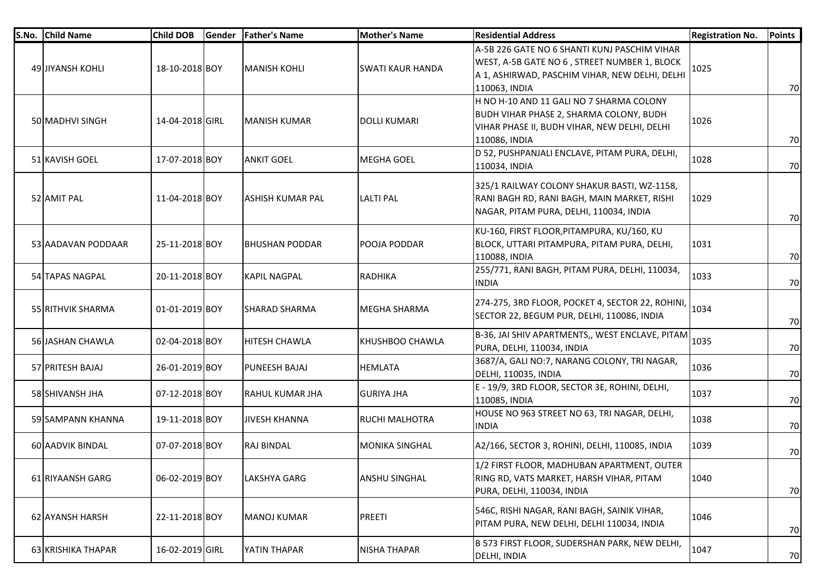| S.No. | <b>Child Name</b>  | <b>Child DOB</b> | Gender | <b>Father's Name</b>   | <b>Mother's Name</b>    | <b>Residential Address</b>                                                                                                                                      | <b>Registration No.</b> | <b>Points</b> |
|-------|--------------------|------------------|--------|------------------------|-------------------------|-----------------------------------------------------------------------------------------------------------------------------------------------------------------|-------------------------|---------------|
|       | 49 JIYANSH KOHLI   | 18-10-2018 BOY   |        | <b>MANISH KOHLI</b>    | <b>SWATI KAUR HANDA</b> | A-5B 226 GATE NO 6 SHANTI KUNJ PASCHIM VIHAR<br>WEST, A-5B GATE NO 6, STREET NUMBER 1, BLOCK<br>A 1, ASHIRWAD, PASCHIM VIHAR, NEW DELHI, DELHI<br>110063, INDIA | 1025                    | 70            |
|       | 50 MADHVI SINGH    | 14-04-2018 GIRL  |        | IMANISH KUMAR          | DOLLI KUMARI            | H NO H-10 AND 11 GALI NO 7 SHARMA COLONY<br>BUDH VIHAR PHASE 2, SHARMA COLONY, BUDH<br>VIHAR PHASE II, BUDH VIHAR, NEW DELHI, DELHI<br>110086, INDIA            | 1026                    | 70            |
|       | 51 KAVISH GOEL     | 17-07-2018 BOY   |        | <b>ANKIT GOEL</b>      | <b>MEGHA GOEL</b>       | D 52, PUSHPANJALI ENCLAVE, PITAM PURA, DELHI,<br>110034, INDIA                                                                                                  | 1028                    | 70            |
|       | 52 AMIT PAL        | 11-04-2018 BOY   |        | IASHISH KUMAR PAL      | <b>LALTI PAL</b>        | 325/1 RAILWAY COLONY SHAKUR BASTI, WZ-1158,<br>RANI BAGH RD, RANI BAGH, MAIN MARKET, RISHI<br>NAGAR, PITAM PURA, DELHI, 110034, INDIA                           | 1029                    | 70            |
|       | 53 AADAVAN PODDAAR | 25-11-2018 BOY   |        | <b>BHUSHAN PODDAR</b>  | POOJA PODDAR            | KU-160, FIRST FLOOR, PITAMPURA, KU/160, KU<br>BLOCK, UTTARI PITAMPURA, PITAM PURA, DELHI,<br>110088, INDIA                                                      | 1031                    | 70            |
|       | 54 TAPAS NAGPAL    | 20-11-2018 BOY   |        | <b>KAPIL NAGPAL</b>    | RADHIKA                 | 255/771, RANI BAGH, PITAM PURA, DELHI, 110034,<br><b>INDIA</b>                                                                                                  | 1033                    | 70            |
|       | 55 RITHVIK SHARMA  | 01-01-2019 BOY   |        | <b>SHARAD SHARMA</b>   | MEGHA SHARMA            | 274-275, 3RD FLOOR, POCKET 4, SECTOR 22, ROHINI,<br>SECTOR 22, BEGUM PUR, DELHI, 110086, INDIA                                                                  | 1034                    | 70            |
|       | 56 JASHAN CHAWLA   | 02-04-2018 BOY   |        | <b>HITESH CHAWLA</b>   | KHUSHBOO CHAWLA         | B-36, JAI SHIV APARTMENTS,, WEST ENCLAVE, PITAM<br>PURA, DELHI, 110034, INDIA                                                                                   | 1035                    | 70            |
|       | 57 PRITESH BAJAJ   | 26-01-2019 BOY   |        | <b>PUNEESH BAJAJ</b>   | <b>HEMLATA</b>          | 3687/A, GALI NO:7, NARANG COLONY, TRI NAGAR,<br>DELHI, 110035, INDIA                                                                                            | 1036                    | 70            |
|       | 58 SHIVANSH JHA    | 07-12-2018 BOY   |        | <b>RAHUL KUMAR JHA</b> | <b>GURIYA JHA</b>       | E - 19/9, 3RD FLOOR, SECTOR 3E, ROHINI, DELHI,<br>110085, INDIA                                                                                                 | 1037                    | 70            |
|       | 59 SAMPANN KHANNA  | 19-11-2018 BOY   |        | <b>JIVESH KHANNA</b>   | RUCHI MALHOTRA          | HOUSE NO 963 STREET NO 63, TRI NAGAR, DELHI,<br><b>INDIA</b>                                                                                                    | 1038                    | 70            |
|       | 60 AADVIK BINDAL   | 07-07-2018 BOY   |        | <b>RAJ BINDAL</b>      | <b>MONIKA SINGHAL</b>   | A2/166, SECTOR 3, ROHINI, DELHI, 110085, INDIA                                                                                                                  | 1039                    | 70            |
|       | 61 RIYAANSH GARG   | 06-02-2019 BOY   |        | LAKSHYA GARG           | ANSHU SINGHAL           | 1/2 FIRST FLOOR, MADHUBAN APARTMENT, OUTER<br>RING RD, VATS MARKET, HARSH VIHAR, PITAM<br>PURA, DELHI, 110034, INDIA                                            | 1040                    | 70            |
|       | 62 AYANSH HARSH    | 22-11-2018 BOY   |        | <b>MANOJ KUMAR</b>     | PREETI                  | 546C, RISHI NAGAR, RANI BAGH, SAINIK VIHAR,<br>PITAM PURA, NEW DELHI, DELHI 110034, INDIA                                                                       | 1046                    | 70            |
|       | 63 KRISHIKA THAPAR | 16-02-2019 GIRL  |        | YATIN THAPAR           | NISHA THAPAR            | B 573 FIRST FLOOR, SUDERSHAN PARK, NEW DELHI,<br>DELHI, INDIA                                                                                                   | 1047                    | 70            |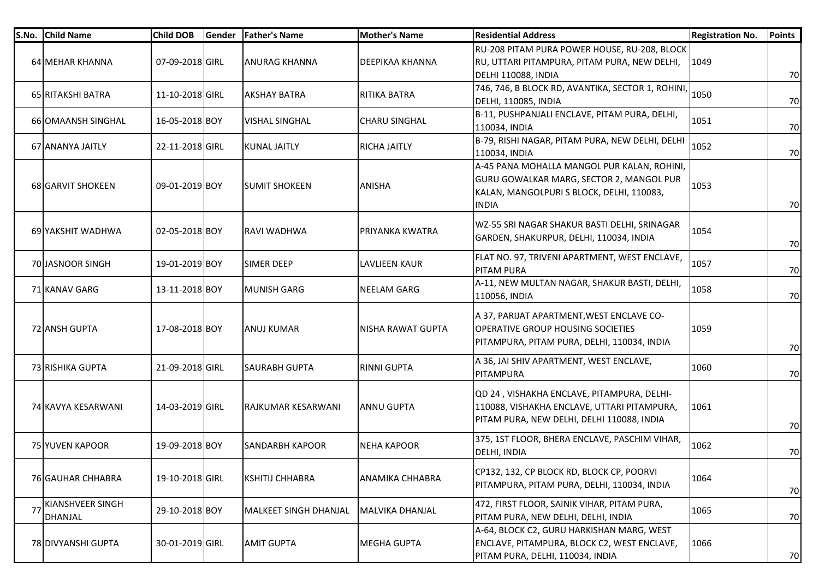| S.No. | <b>Child Name</b>           | <b>Child DOB</b> | Gender | <b>Father's Name</b>         | Mother's Name          | <b>Residential Address</b>                                                                                                                           | <b>Registration No.</b> | <b>Points</b> |
|-------|-----------------------------|------------------|--------|------------------------------|------------------------|------------------------------------------------------------------------------------------------------------------------------------------------------|-------------------------|---------------|
|       | 64 MEHAR KHANNA             | 07-09-2018 GIRL  |        | <b>ANURAG KHANNA</b>         | DEEPIKAA KHANNA        | RU-208 PITAM PURA POWER HOUSE, RU-208, BLOCK<br>RU, UTTARI PITAMPURA, PITAM PURA, NEW DELHI,<br>DELHI 110088, INDIA                                  | 1049                    | 70            |
|       | 65 RITAKSHI BATRA           | 11-10-2018 GIRL  |        | <b>AKSHAY BATRA</b>          | <b>RITIKA BATRA</b>    | 746, 746, B BLOCK RD, AVANTIKA, SECTOR 1, ROHINI, 1050<br>DELHI, 110085, INDIA                                                                       |                         | 70            |
|       | 66 OMAANSH SINGHAL          | 16-05-2018 BOY   |        | <b>VISHAL SINGHAL</b>        | <b>CHARU SINGHAL</b>   | B-11, PUSHPANJALI ENCLAVE, PITAM PURA, DELHI,<br>110034, INDIA                                                                                       | 1051                    | 70            |
|       | 67 ANANYA JAITLY            | 22-11-2018 GIRL  |        | <b>KUNAL JAITLY</b>          | <b>RICHA JAITLY</b>    | B-79, RISHI NAGAR, PITAM PURA, NEW DELHI, DELHI<br>110034, INDIA                                                                                     | 1052                    | 70            |
|       | 68 GARVIT SHOKEEN           | 09-01-2019 BOY   |        | <b>SUMIT SHOKEEN</b>         | <b>ANISHA</b>          | A-45 PANA MOHALLA MANGOL PUR KALAN, ROHINI,<br>GURU GOWALKAR MARG, SECTOR 2, MANGOL PUR<br>KALAN, MANGOLPURI S BLOCK, DELHI, 110083,<br><b>INDIA</b> | 1053                    | 70            |
|       | 69 YAKSHIT WADHWA           | 02-05-2018 BOY   |        | RAVI WADHWA                  | PRIYANKA KWATRA        | WZ-55 SRI NAGAR SHAKUR BASTI DELHI, SRINAGAR<br>GARDEN, SHAKURPUR, DELHI, 110034, INDIA                                                              | 1054                    | 70            |
|       | 70 JASNOOR SINGH            | 19-01-2019 BOY   |        | <b>SIMER DEEP</b>            | <b>LAVLIEEN KAUR</b>   | FLAT NO. 97, TRIVENI APARTMENT, WEST ENCLAVE,<br><b>PITAM PURA</b>                                                                                   | 1057                    | 70            |
|       | 71 KANAV GARG               | 13-11-2018 BOY   |        | <b>MUNISH GARG</b>           | NEELAM GARG            | A-11, NEW MULTAN NAGAR, SHAKUR BASTI, DELHI,<br>110056, INDIA                                                                                        | 1058                    | 70            |
|       | 72 ANSH GUPTA               | 17-08-2018 BOY   |        | <b>ANUJ KUMAR</b>            | NISHA RAWAT GUPTA      | A 37, PARIJAT APARTMENT, WEST ENCLAVE CO-<br><b>OPERATIVE GROUP HOUSING SOCIETIES</b><br>PITAMPURA, PITAM PURA, DELHI, 110034, INDIA                 | 1059                    | 70            |
|       | 73 RISHIKA GUPTA            | 21-09-2018 GIRL  |        | <b>SAURABH GUPTA</b>         | <b>RINNI GUPTA</b>     | A 36, JAI SHIV APARTMENT, WEST ENCLAVE,<br>PITAMPURA                                                                                                 | 1060                    | 70            |
|       | 74 KAVYA KESARWANI          | 14-03-2019 GIRL  |        | <b>RAJKUMAR KESARWANI</b>    | IANNU GUPTA            | QD 24, VISHAKHA ENCLAVE, PITAMPURA, DELHI-<br>110088, VISHAKHA ENCLAVE, UTTARI PITAMPURA,<br>PITAM PURA, NEW DELHI, DELHI 110088, INDIA              | 1061                    | 70            |
|       | 75 YUVEN KAPOOR             | 19-09-2018 BOY   |        | <b>SANDARBH KAPOOR</b>       | <b>NEHA KAPOOR</b>     | 375, 1ST FLOOR, BHERA ENCLAVE, PASCHIM VIHAR,<br>DELHI, INDIA                                                                                        | 1062                    | 70            |
|       | <b>76 GAUHAR CHHABRA</b>    | 19-10-2018 GIRL  |        | <b>KSHITIJ CHHABRA</b>       | <b>ANAMIKA CHHABRA</b> | CP132, 132, CP BLOCK RD, BLOCK CP, POORVI<br>PITAMPURA, PITAM PURA, DELHI, 110034, INDIA                                                             | 1064                    | 70            |
| 77    | KIANSHVEER SINGH<br>DHANJAL | 29-10-2018 BOY   |        | <b>MALKEET SINGH DHANJAL</b> | <b>MALVIKA DHANJAL</b> | 472, FIRST FLOOR, SAINIK VIHAR, PITAM PURA,<br>PITAM PURA, NEW DELHI, DELHI, INDIA                                                                   | 1065                    | 70            |
|       | 78 DIVYANSHI GUPTA          | 30-01-2019 GIRL  |        | <b>AMIT GUPTA</b>            | <b>MEGHA GUPTA</b>     | A-64, BLOCK C2, GURU HARKISHAN MARG, WEST<br>ENCLAVE, PITAMPURA, BLOCK C2, WEST ENCLAVE,<br>PITAM PURA, DELHI, 110034, INDIA                         | 1066                    | 70            |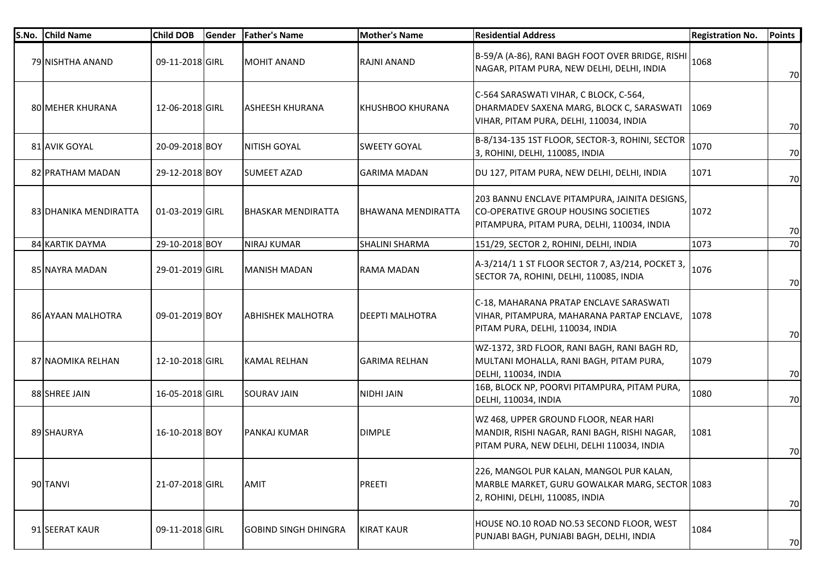| S.No. Child Name      | <b>Child DOB</b> | Gender | <b>Father's Name</b>        | <b>Mother's Name</b>   | <b>Residential Address</b>                                                                                                           | <b>Registration No.</b> | <b>Points</b> |
|-----------------------|------------------|--------|-----------------------------|------------------------|--------------------------------------------------------------------------------------------------------------------------------------|-------------------------|---------------|
| 79 NISHTHA ANAND      | 09-11-2018 GIRL  |        | <b>MOHIT ANAND</b>          | RAJNI ANAND            | B-59/A (A-86), RANI BAGH FOOT OVER BRIDGE, RISHI<br>NAGAR, PITAM PURA, NEW DELHI, DELHI, INDIA                                       | 1068                    | 70            |
| 80 MEHER KHURANA      | 12-06-2018 GIRL  |        | <b>ASHEESH KHURANA</b>      | KHUSHBOO KHURANA       | C-564 SARASWATI VIHAR, C BLOCK, C-564,<br>DHARMADEV SAXENA MARG, BLOCK C, SARASWATI<br>VIHAR, PITAM PURA, DELHI, 110034, INDIA       | 1069                    | 70            |
| 81 AVIK GOYAL         | 20-09-2018 BOY   |        | <b>NITISH GOYAL</b>         | <b>SWEETY GOYAL</b>    | B-8/134-135 1ST FLOOR, SECTOR-3, ROHINI, SECTOR<br>3, ROHINI, DELHI, 110085, INDIA                                                   | 1070                    | 70            |
| 82 PRATHAM MADAN      | 29-12-2018 BOY   |        | <b>SUMEET AZAD</b>          | <b>GARIMA MADAN</b>    | DU 127, PITAM PURA, NEW DELHI, DELHI, INDIA                                                                                          | 1071                    | 70            |
| 83 DHANIKA MENDIRATTA | 01-03-2019 GIRL  |        | IBHASKAR MENDIRATTA         | BHAWANA MENDIRATTA     | 203 BANNU ENCLAVE PITAMPURA, JAINITA DESIGNS,<br>CO-OPERATIVE GROUP HOUSING SOCIETIES<br>PITAMPURA, PITAM PURA, DELHI, 110034, INDIA | 1072                    | 70            |
| 84 KARTIK DAYMA       | 29-10-2018 BOY   |        | <b>NIRAJ KUMAR</b>          | SHALINI SHARMA         | 151/29, SECTOR 2, ROHINI, DELHI, INDIA                                                                                               | 1073                    | 70            |
| 85 NAYRA MADAN        | 29-01-2019 GIRL  |        | IMANISH MADAN               | RAMA MADAN             | A-3/214/1 1 ST FLOOR SECTOR 7, A3/214, POCKET 3,<br>SECTOR 7A, ROHINI, DELHI, 110085, INDIA                                          | 1076                    | 70            |
| 86 AYAAN MALHOTRA     | 09-01-2019 BOY   |        | <b>ABHISHEK MALHOTRA</b>    | <b>DEEPTI MALHOTRA</b> | C-18, MAHARANA PRATAP ENCLAVE SARASWATI<br>VIHAR, PITAMPURA, MAHARANA PARTAP ENCLAVE,<br>PITAM PURA, DELHI, 110034, INDIA            | 1078                    | 70            |
| 87 INAOMIKA RELHAN    | 12-10-2018 GIRL  |        | IKAMAL RELHAN               | <b>GARIMA RELHAN</b>   | WZ-1372, 3RD FLOOR, RANI BAGH, RANI BAGH RD,<br>MULTANI MOHALLA, RANI BAGH, PITAM PURA,<br>DELHI, 110034, INDIA                      | 1079                    | 70            |
| 88 SHREE JAIN         | 16-05-2018 GIRL  |        | <b>SOURAV JAIN</b>          | NIDHI JAIN             | 16B, BLOCK NP, POORVI PITAMPURA, PITAM PURA,<br>DELHI, 110034, INDIA                                                                 | 1080                    | 70            |
| 89 SHAURYA            | 16-10-2018 BOY   |        | <b>PANKAJ KUMAR</b>         | <b>DIMPLE</b>          | WZ 468, UPPER GROUND FLOOR, NEAR HARI<br>MANDIR, RISHI NAGAR, RANI BAGH, RISHI NAGAR,<br>PITAM PURA, NEW DELHI, DELHI 110034, INDIA  | 1081                    | 70            |
| 90 TANVI              | 21-07-2018 GIRL  |        | <b>AMIT</b>                 | PREETI                 | 226, MANGOL PUR KALAN, MANGOL PUR KALAN,<br>MARBLE MARKET, GURU GOWALKAR MARG, SECTOR 1083<br>2, ROHINI, DELHI, 110085, INDIA        |                         | 70            |
| 91 SEERAT KAUR        | 09-11-2018 GIRL  |        | <b>GOBIND SINGH DHINGRA</b> | <b>KIRAT KAUR</b>      | HOUSE NO.10 ROAD NO.53 SECOND FLOOR, WEST<br>PUNJABI BAGH, PUNJABI BAGH, DELHI, INDIA                                                | 1084                    | 70            |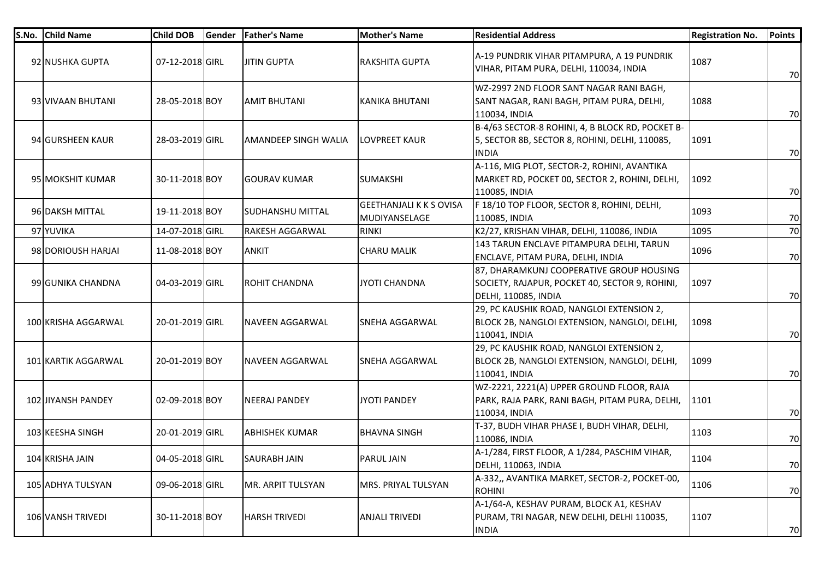| S.No. | <b>Child Name</b>   | <b>Child DOB</b> | <b>Gender</b> | <b>Father's Name</b>    | <b>Mother's Name</b>                            | <b>Residential Address</b>                                                                                                | <b>Registration No.</b> | <b>Points</b> |
|-------|---------------------|------------------|---------------|-------------------------|-------------------------------------------------|---------------------------------------------------------------------------------------------------------------------------|-------------------------|---------------|
|       | 92 NUSHKA GUPTA     | 07-12-2018 GIRL  |               | <b>JITIN GUPTA</b>      | <b>RAKSHITA GUPTA</b>                           | A-19 PUNDRIK VIHAR PITAMPURA, A 19 PUNDRIK<br>VIHAR, PITAM PURA, DELHI, 110034, INDIA                                     | 1087                    | 70            |
|       | 93 VIVAAN BHUTANI   | 28-05-2018 BOY   |               | <b>AMIT BHUTANI</b>     | KANIKA BHUTANI                                  | WZ-2997 2ND FLOOR SANT NAGAR RANI BAGH,<br>SANT NAGAR, RANI BAGH, PITAM PURA, DELHI,<br>110034, INDIA                     | 1088                    | 70            |
|       | 94 GURSHEEN KAUR    | 28-03-2019 GIRL  |               | AMANDEEP SINGH WALIA    | <b>LOVPREET KAUR</b>                            | B-4/63 SECTOR-8 ROHINI, 4, B BLOCK RD, POCKET B-<br>5, SECTOR 8B, SECTOR 8, ROHINI, DELHI, 110085,<br><b>INDIA</b>        | 1091                    | 70            |
|       | 95 MOKSHIT KUMAR    | 30-11-2018 BOY   |               | <b>GOURAV KUMAR</b>     | <b>SUMAKSHI</b>                                 | A-116, MIG PLOT, SECTOR-2, ROHINI, AVANTIKA<br>MARKET RD, POCKET 00, SECTOR 2, ROHINI, DELHI,<br>110085, INDIA            | 1092                    | 70            |
|       | 96 DAKSH MITTAL     | 19-11-2018 BOY   |               | <b>SUDHANSHU MITTAL</b> | <b>GEETHANJALI K K S OVISA</b><br>MUDIYANSELAGE | F 18/10 TOP FLOOR, SECTOR 8, ROHINI, DELHI,<br>110085, INDIA                                                              | 1093                    | 70            |
|       | 97 YUVIKA           | 14-07-2018 GIRL  |               | <b>RAKESH AGGARWAL</b>  | <b>RINKI</b>                                    | K2/27, KRISHAN VIHAR, DELHI, 110086, INDIA                                                                                | 1095                    | 70            |
|       | 98 DORIOUSH HARJAI  | 11-08-2018 BOY   |               | <b>ANKIT</b>            | <b>CHARU MALIK</b>                              | 143 TARUN ENCLAVE PITAMPURA DELHI, TARUN<br>ENCLAVE, PITAM PURA, DELHI, INDIA                                             | 1096                    | 70            |
|       | 99 GUNIKA CHANDNA   | 04-03-2019 GIRL  |               | <b>ROHIT CHANDNA</b>    | JYOTI CHANDNA                                   | 87, DHARAMKUNJ COOPERATIVE GROUP HOUSING<br>SOCIETY, RAJAPUR, POCKET 40, SECTOR 9, ROHINI,<br><b>DELHI, 110085, INDIA</b> | 1097                    | 70            |
|       | 100 KRISHA AGGARWAL | 20-01-2019 GIRL  |               | NAVEEN AGGARWAL         | <b>SNEHA AGGARWAL</b>                           | 29, PC KAUSHIK ROAD, NANGLOI EXTENSION 2,<br>BLOCK 2B, NANGLOI EXTENSION, NANGLOI, DELHI,<br>110041, INDIA                | 1098                    | 70            |
|       | 101 KARTIK AGGARWAL | 20-01-2019 BOY   |               | NAVEEN AGGARWAL         | <b>SNEHA AGGARWAL</b>                           | 29, PC KAUSHIK ROAD, NANGLOI EXTENSION 2,<br>BLOCK 2B, NANGLOI EXTENSION, NANGLOI, DELHI,<br>110041, INDIA                | 1099                    | 70            |
|       | 102 JIYANSH PANDEY  | 02-09-2018 BOY   |               | <b>NEERAJ PANDEY</b>    | JYOTI PANDEY                                    | WZ-2221, 2221(A) UPPER GROUND FLOOR, RAJA<br>PARK, RAJA PARK, RANI BAGH, PITAM PURA, DELHI,<br>110034, INDIA              | 1101                    | 70            |
|       | 103 KEESHA SINGH    | 20-01-2019 GIRL  |               | <b>ABHISHEK KUMAR</b>   | <b>BHAVNA SINGH</b>                             | T-37, BUDH VIHAR PHASE I, BUDH VIHAR, DELHI,<br>110086, INDIA                                                             | 1103                    | 70            |
|       | 104 KRISHA JAIN     | 04-05-2018 GIRL  |               | <b>SAURABH JAIN</b>     | <b>PARUL JAIN</b>                               | A-1/284, FIRST FLOOR, A 1/284, PASCHIM VIHAR,<br> DELHI, 110063, INDIA                                                    | 1104                    | 70            |
|       | 105 ADHYA TULSYAN   | 09-06-2018 GIRL  |               | MR. ARPIT TULSYAN       | MRS. PRIYAL TULSYAN                             | A-332,, AVANTIKA MARKET, SECTOR-2, POCKET-00,<br><b>ROHINI</b>                                                            | 1106                    | 70            |
|       | 106 VANSH TRIVEDI   | 30-11-2018 BOY   |               | <b>HARSH TRIVEDI</b>    | <b>ANJALI TRIVEDI</b>                           | A-1/64-A, KESHAV PURAM, BLOCK A1, KESHAV<br>PURAM, TRI NAGAR, NEW DELHI, DELHI 110035,<br><b>INDIA</b>                    | 1107                    | 70            |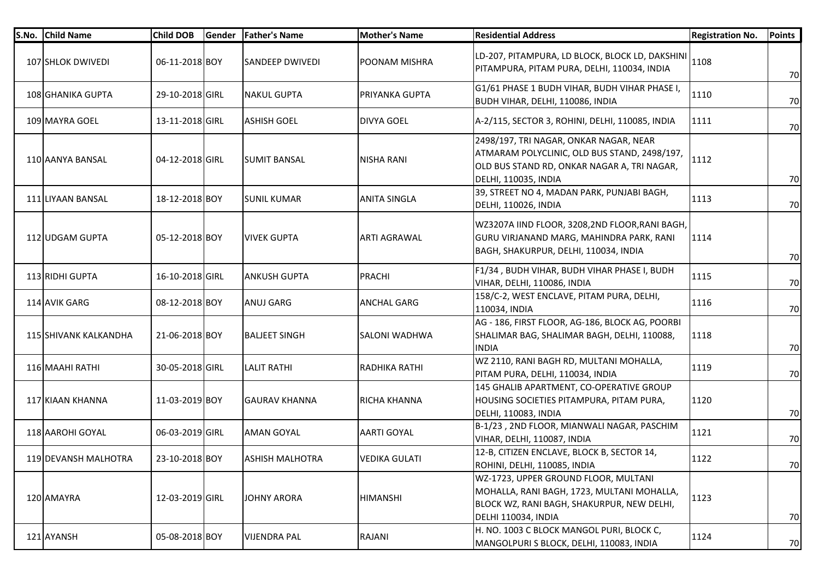| S.No. Child Name      | <b>Child DOB</b> | Gender | <b>Father's Name</b>   | <b>Mother's Name</b>  | <b>Residential Address</b>                                                                                                                                    | <b>Registration No.</b> | <b>Points</b> |
|-----------------------|------------------|--------|------------------------|-----------------------|---------------------------------------------------------------------------------------------------------------------------------------------------------------|-------------------------|---------------|
| 107 SHLOK DWIVEDI     | 06-11-2018 BOY   |        | <b>SANDEEP DWIVEDI</b> | <b>POONAM MISHRA</b>  | LD-207, PITAMPURA, LD BLOCK, BLOCK LD, DAKSHINI<br>PITAMPURA, PITAM PURA, DELHI, 110034, INDIA                                                                | 1108                    | 70            |
| 108 GHANIKA GUPTA     | 29-10-2018 GIRL  |        | <b>NAKUL GUPTA</b>     | <b>PRIYANKA GUPTA</b> | G1/61 PHASE 1 BUDH VIHAR, BUDH VIHAR PHASE I,<br>BUDH VIHAR, DELHI, 110086, INDIA                                                                             | 1110                    | 70            |
| 109 MAYRA GOEL        | 13-11-2018 GIRL  |        | <b>ASHISH GOEL</b>     | <b>DIVYA GOEL</b>     | A-2/115, SECTOR 3, ROHINI, DELHI, 110085, INDIA                                                                                                               | 1111                    | 70            |
| 110 AANYA BANSAL      | 04-12-2018 GIRL  |        | <b>SUMIT BANSAL</b>    | <b>NISHA RANI</b>     | 2498/197, TRI NAGAR, ONKAR NAGAR, NEAR<br>ATMARAM POLYCLINIC, OLD BUS STAND, 2498/197,<br>OLD BUS STAND RD, ONKAR NAGAR A, TRI NAGAR,<br>DELHI, 110035, INDIA | 1112                    | 70            |
| 111 LIYAAN BANSAL     | 18-12-2018 BOY   |        | <b>SUNIL KUMAR</b>     | <b>ANITA SINGLA</b>   | 39, STREET NO 4, MADAN PARK, PUNJABI BAGH,<br>DELHI, 110026, INDIA                                                                                            | 1113                    | 70            |
| 112 UDGAM GUPTA       | 05-12-2018 BOY   |        | <b>VIVEK GUPTA</b>     | <b>ARTI AGRAWAL</b>   | WZ3207A IIND FLOOR, 3208,2ND FLOOR, RANI BAGH,<br>GURU VIRJANAND MARG, MAHINDRA PARK, RANI<br>BAGH, SHAKURPUR, DELHI, 110034, INDIA                           | 1114                    | 70            |
| 113 RIDHI GUPTA       | 16-10-2018 GIRL  |        | <b>ANKUSH GUPTA</b>    | PRACHI                | F1/34, BUDH VIHAR, BUDH VIHAR PHASE I, BUDH<br>VIHAR, DELHI, 110086, INDIA                                                                                    | 1115                    | 70            |
| 114 AVIK GARG         | 08-12-2018 BOY   |        | ANUJ GARG              | <b>ANCHAL GARG</b>    | 158/C-2, WEST ENCLAVE, PITAM PURA, DELHI,<br>110034, INDIA                                                                                                    | 1116                    | 70            |
| 115 SHIVANK KALKANDHA | 21-06-2018 BOY   |        | <b>BALJEET SINGH</b>   | <b>SALONI WADHWA</b>  | AG - 186, FIRST FLOOR, AG-186, BLOCK AG, POORBI<br>SHALIMAR BAG, SHALIMAR BAGH, DELHI, 110088,<br><b>INDIA</b>                                                | 1118                    | 70            |
| 116 MAAHI RATHI       | 30-05-2018 GIRL  |        | <b>LALIT RATHI</b>     | RADHIKA RATHI         | WZ 2110, RANI BAGH RD, MULTANI MOHALLA,<br>PITAM PURA, DELHI, 110034, INDIA                                                                                   | 1119                    | 70            |
| 117 KIAAN KHANNA      | 11-03-2019 BOY   |        | <b>GAURAV KHANNA</b>   | RICHA KHANNA          | 145 GHALIB APARTMENT, CO-OPERATIVE GROUP<br>HOUSING SOCIETIES PITAMPURA, PITAM PURA,<br>DELHI, 110083, INDIA                                                  | 1120                    | 70            |
| 118 AAROHI GOYAL      | 06-03-2019 GIRL  |        | <b>AMAN GOYAL</b>      | <b>AARTI GOYAL</b>    | B-1/23, 2ND FLOOR, MIANWALI NAGAR, PASCHIM<br>VIHAR, DELHI, 110087, INDIA                                                                                     | 1121                    | 70            |
| 119 DEVANSH MALHOTRA  | 23-10-2018 BOY   |        | <b>ASHISH MALHOTRA</b> | <b>VEDIKA GULATI</b>  | 12-B, CITIZEN ENCLAVE, BLOCK B, SECTOR 14,<br>ROHINI, DELHI, 110085, INDIA                                                                                    | 1122                    | 70            |
| 120 AMAYRA            | 12-03-2019 GIRL  |        | <b>JOHNY ARORA</b>     | <b>HIMANSHI</b>       | WZ-1723, UPPER GROUND FLOOR, MULTANI<br>MOHALLA, RANI BAGH, 1723, MULTANI MOHALLA,<br>BLOCK WZ, RANI BAGH, SHAKURPUR, NEW DELHI,<br>DELHI 110034, INDIA       | 1123                    | 70            |
| 121 AYANSH            | 05-08-2018 BOY   |        | <b>VIJENDRA PAL</b>    | RAJANI                | H. NO. 1003 C BLOCK MANGOL PURI, BLOCK C,<br>MANGOLPURI S BLOCK, DELHI, 110083, INDIA                                                                         | 1124                    | 70            |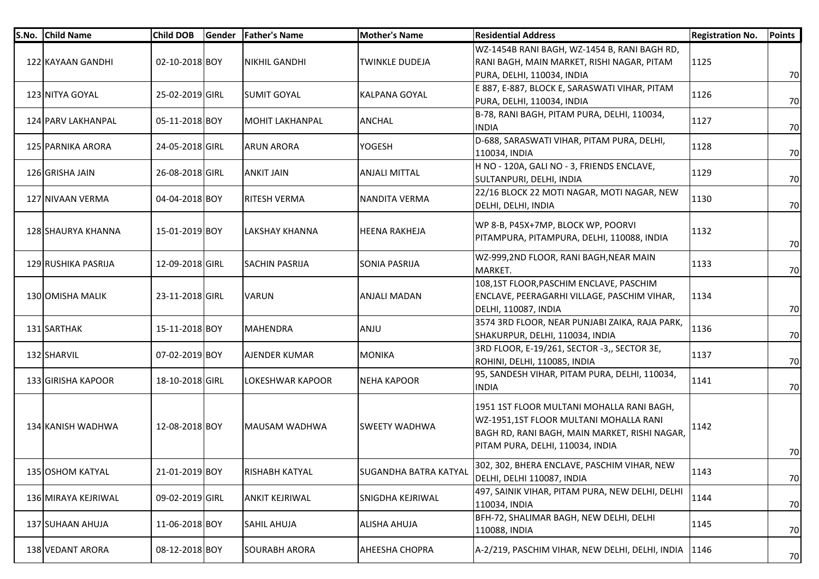| S.No. | <b>Child Name</b>   | <b>Child DOB</b> | Gender | <b>Father's Name</b>   | Mother's Name                | <b>Residential Address</b>                                                                                                                                               | <b>Registration No.</b> | Points |
|-------|---------------------|------------------|--------|------------------------|------------------------------|--------------------------------------------------------------------------------------------------------------------------------------------------------------------------|-------------------------|--------|
|       | 122 KAYAAN GANDHI   | 02-10-2018 BOY   |        | <b>NIKHIL GANDHI</b>   | TWINKLE DUDEJA               | WZ-1454B RANI BAGH, WZ-1454 B, RANI BAGH RD,<br>RANI BAGH, MAIN MARKET, RISHI NAGAR, PITAM<br>PURA, DELHI, 110034, INDIA                                                 | 1125                    | 70     |
|       | 123 NITYA GOYAL     | 25-02-2019 GIRL  |        | <b>SUMIT GOYAL</b>     | <b>KALPANA GOYAL</b>         | E 887, E-887, BLOCK E, SARASWATI VIHAR, PITAM<br>PURA, DELHI, 110034, INDIA                                                                                              | 1126                    | 70     |
|       | 124 PARV LAKHANPAL  | 05-11-2018 BOY   |        | <b>MOHIT LAKHANPAL</b> | <b>ANCHAL</b>                | B-78, RANI BAGH, PITAM PURA, DELHI, 110034,<br><b>INDIA</b>                                                                                                              | 1127                    | 70     |
|       | 125 PARNIKA ARORA   | 24-05-2018 GIRL  |        | <b>ARUN ARORA</b>      | YOGESH                       | D-688, SARASWATI VIHAR, PITAM PURA, DELHI,<br>110034, INDIA                                                                                                              | 1128                    | 70     |
|       | 126 GRISHA JAIN     | 26-08-2018 GIRL  |        | <b>ANKIT JAIN</b>      | <b>ANJALI MITTAL</b>         | H NO - 120A, GALI NO - 3, FRIENDS ENCLAVE,<br>SULTANPURI, DELHI, INDIA                                                                                                   | 1129                    | 70     |
|       | 127 NIVAAN VERMA    | 04-04-2018 BOY   |        | <b>RITESH VERMA</b>    | NANDITA VERMA                | 22/16 BLOCK 22 MOTI NAGAR, MOTI NAGAR, NEW<br>DELHI, DELHI, INDIA                                                                                                        | 1130                    | 70     |
|       | 128 SHAURYA KHANNA  | 15-01-2019 BOY   |        | LAKSHAY KHANNA         | <b>HEENA RAKHEJA</b>         | WP 8-B, P45X+7MP, BLOCK WP, POORVI<br>PITAMPURA, PITAMPURA, DELHI, 110088, INDIA                                                                                         | 1132                    | 70     |
|       | 129 RUSHIKA PASRIJA | 12-09-2018 GIRL  |        | <b>SACHIN PASRIJA</b>  | <b>SONIA PASRIJA</b>         | WZ-999,2ND FLOOR, RANI BAGH, NEAR MAIN<br>MARKET.                                                                                                                        | 1133                    | 70     |
|       | 130 OMISHA MALIK    | 23-11-2018 GIRL  |        | <b>VARUN</b>           | <b>ANJALI MADAN</b>          | 108,1ST FLOOR, PASCHIM ENCLAVE, PASCHIM<br>ENCLAVE, PEERAGARHI VILLAGE, PASCHIM VIHAR,<br>DELHI, 110087, INDIA                                                           | 1134                    | 70     |
|       | 131 SARTHAK         | 15-11-2018 BOY   |        | <b>MAHENDRA</b>        | ANJU                         | 3574 3RD FLOOR, NEAR PUNJABI ZAIKA, RAJA PARK,<br>SHAKURPUR, DELHI, 110034, INDIA                                                                                        | 1136                    | 70     |
|       | 132 SHARVIL         | 07-02-2019 BOY   |        | AJENDER KUMAR          | <b>MONIKA</b>                | 3RD FLOOR, E-19/261, SECTOR -3,, SECTOR 3E,<br>ROHINI, DELHI, 110085, INDIA                                                                                              | 1137                    | 70     |
|       | 133 GIRISHA KAPOOR  | 18-10-2018 GIRL  |        | LOKESHWAR KAPOOR       | <b>NEHA KAPOOR</b>           | 95, SANDESH VIHAR, PITAM PURA, DELHI, 110034,<br><b>INDIA</b>                                                                                                            | 1141                    | 70     |
|       | 134 KANISH WADHWA   | 12-08-2018 BOY   |        | MAUSAM WADHWA          | <b>SWEETY WADHWA</b>         | 1951 1ST FLOOR MULTANI MOHALLA RANI BAGH,<br>WZ-1951,1ST FLOOR MULTANI MOHALLA RANI<br>BAGH RD, RANI BAGH, MAIN MARKET, RISHI NAGAR,<br>PITAM PURA, DELHI, 110034, INDIA | 1142                    | 70     |
|       | 135 OSHOM KATYAL    | 21-01-2019 BOY   |        | <b>RISHABH KATYAL</b>  | <b>SUGANDHA BATRA KATYAL</b> | 302, 302, BHERA ENCLAVE, PASCHIM VIHAR, NEW<br>DELHI, DELHI 110087, INDIA                                                                                                | 1143                    | 70     |
|       | 136 MIRAYA KEJRIWAL | 09-02-2019 GIRL  |        | <b>ANKIT KEJRIWAL</b>  | SNIGDHA KEJRIWAL             | 497, SAINIK VIHAR, PITAM PURA, NEW DELHI, DELHI<br>110034, INDIA                                                                                                         | 1144                    | 70     |
|       | 137 SUHAAN AHUJA    | 11-06-2018 BOY   |        | <b>SAHIL AHUJA</b>     | <b>ALISHA AHUJA</b>          | BFH-72, SHALIMAR BAGH, NEW DELHI, DELHI<br>110088, INDIA                                                                                                                 | 1145                    | 70     |
|       | 138 VEDANT ARORA    | 08-12-2018 BOY   |        | <b>SOURABH ARORA</b>   | AHEESHA CHOPRA               | A-2/219, PASCHIM VIHAR, NEW DELHI, DELHI, INDIA 1146                                                                                                                     |                         | 70     |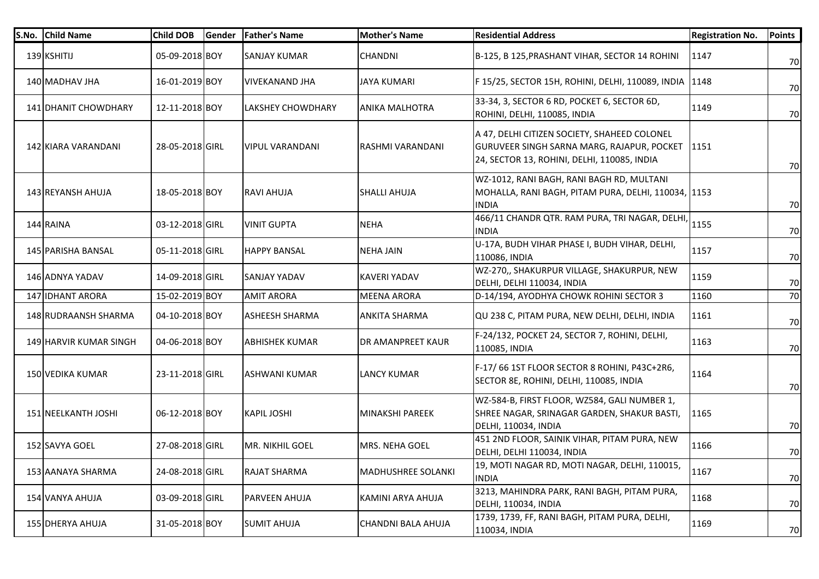| S.No. | <b>Child Name</b>      | <b>Child DOB</b> | Gender | <b>Father's Name</b>     | <b>Mother's Name</b>      | <b>Residential Address</b>                                                                                                                | <b>Registration No.</b> | <b>Points</b> |
|-------|------------------------|------------------|--------|--------------------------|---------------------------|-------------------------------------------------------------------------------------------------------------------------------------------|-------------------------|---------------|
|       | 139 KSHITIJ            | 05-09-2018 BOY   |        | <b>SANJAY KUMAR</b>      | <b>CHANDNI</b>            | B-125, B 125, PRASHANT VIHAR, SECTOR 14 ROHINI                                                                                            | 1147                    | 70            |
|       | 140 MADHAV JHA         | 16-01-2019 BOY   |        | VIVEKANAND JHA           | <b>JAYA KUMARI</b>        | F 15/25, SECTOR 15H, ROHINI, DELHI, 110089, INDIA                                                                                         | 1148                    | 70            |
|       | 141 DHANIT CHOWDHARY   | 12-11-2018 BOY   |        | <b>LAKSHEY CHOWDHARY</b> | <b>ANIKA MALHOTRA</b>     | 33-34, 3, SECTOR 6 RD, POCKET 6, SECTOR 6D,<br>ROHINI, DELHI, 110085, INDIA                                                               | 1149                    | 70            |
|       | 142 KIARA VARANDANI    | 28-05-2018 GIRL  |        | <b>VIPUL VARANDANI</b>   | RASHMI VARANDANI          | A 47, DELHI CITIZEN SOCIETY, SHAHEED COLONEL<br>GURUVEER SINGH SARNA MARG, RAJAPUR, POCKET<br>24, SECTOR 13, ROHINI, DELHI, 110085, INDIA | 1151                    | 70            |
|       | 143 REYANSH AHUJA      | 18-05-2018 BOY   |        | RAVI AHUJA               | <b>SHALLI AHUJA</b>       | WZ-1012, RANI BAGH, RANI BAGH RD, MULTANI<br>MOHALLA, RANI BAGH, PITAM PURA, DELHI, 110034, 1153<br><b>INDIA</b>                          |                         | 70            |
|       | 144 RAINA              | 03-12-2018 GIRL  |        | <b>VINIT GUPTA</b>       | <b>NEHA</b>               | 466/11 CHANDR QTR. RAM PURA, TRI NAGAR, DELHI,<br><b>INDIA</b>                                                                            | 1155                    | 70            |
|       | 145 PARISHA BANSAL     | 05-11-2018 GIRL  |        | <b>HAPPY BANSAL</b>      | <b>NEHA JAIN</b>          | U-17A, BUDH VIHAR PHASE I, BUDH VIHAR, DELHI,<br>110086, INDIA                                                                            | 1157                    | 70            |
|       | 146 ADNYA YADAV        | 14-09-2018 GIRL  |        | <b>SANJAY YADAV</b>      | <b>KAVERI YADAV</b>       | WZ-270,, SHAKURPUR VILLAGE, SHAKURPUR, NEW<br>DELHI, DELHI 110034, INDIA                                                                  | 1159                    | 70            |
|       | 147 IDHANT ARORA       | 15-02-2019 BOY   |        | <b>AMIT ARORA</b>        | <b>MEENA ARORA</b>        | D-14/194, AYODHYA CHOWK ROHINI SECTOR 3                                                                                                   | 1160                    | 70            |
|       | 148 RUDRAANSH SHARMA   | 04-10-2018 BOY   |        | ASHEESH SHARMA           | <b>ANKITA SHARMA</b>      | QU 238 C, PITAM PURA, NEW DELHI, DELHI, INDIA                                                                                             | 1161                    | 70            |
|       | 149 HARVIR KUMAR SINGH | 04-06-2018 BOY   |        | <b>ABHISHEK KUMAR</b>    | <b>DR AMANPREET KAUR</b>  | F-24/132, POCKET 24, SECTOR 7, ROHINI, DELHI,<br>110085, INDIA                                                                            | 1163                    | 70            |
|       | 150 VEDIKA KUMAR       | 23-11-2018 GIRL  |        | <b>ASHWANI KUMAR</b>     | <b>LANCY KUMAR</b>        | F-17/66 1ST FLOOR SECTOR 8 ROHINI, P43C+2R6,<br>SECTOR 8E, ROHINI, DELHI, 110085, INDIA                                                   | 1164                    | 70            |
|       | 151 NEELKANTH JOSHI    | 06-12-2018 BOY   |        | <b>KAPIL JOSHI</b>       | MINAKSHI PAREEK           | WZ-584-B, FIRST FLOOR, WZ584, GALI NUMBER 1,<br>SHREE NAGAR, SRINAGAR GARDEN, SHAKUR BASTI,<br>DELHI, 110034, INDIA                       | 1165                    | 70            |
|       | 152 SAVYA GOEL         | 27-08-2018 GIRL  |        | MR. NIKHIL GOEL          | MRS. NEHA GOEL            | 451 2ND FLOOR, SAINIK VIHAR, PITAM PURA, NEW<br>DELHI, DELHI 110034, INDIA                                                                | 1166                    | 70            |
|       | 153 AANAYA SHARMA      | 24-08-2018 GIRL  |        | RAJAT SHARMA             | <b>MADHUSHREE SOLANKI</b> | 19, MOTI NAGAR RD, MOTI NAGAR, DELHI, 110015,<br><b>INDIA</b>                                                                             | 1167                    | 70            |
|       | 154 VANYA AHUJA        | 03-09-2018 GIRL  |        | PARVEEN AHUJA            | KAMINI ARYA AHUJA         | 3213, MAHINDRA PARK, RANI BAGH, PITAM PURA,<br>DELHI, 110034, INDIA                                                                       | 1168                    | 70            |
|       | 155 DHERYA AHUJA       | 31-05-2018 BOY   |        | <b>SUMIT AHUJA</b>       | CHANDNI BALA AHUJA        | 1739, 1739, FF, RANI BAGH, PITAM PURA, DELHI,<br>110034, INDIA                                                                            | 1169                    | 70            |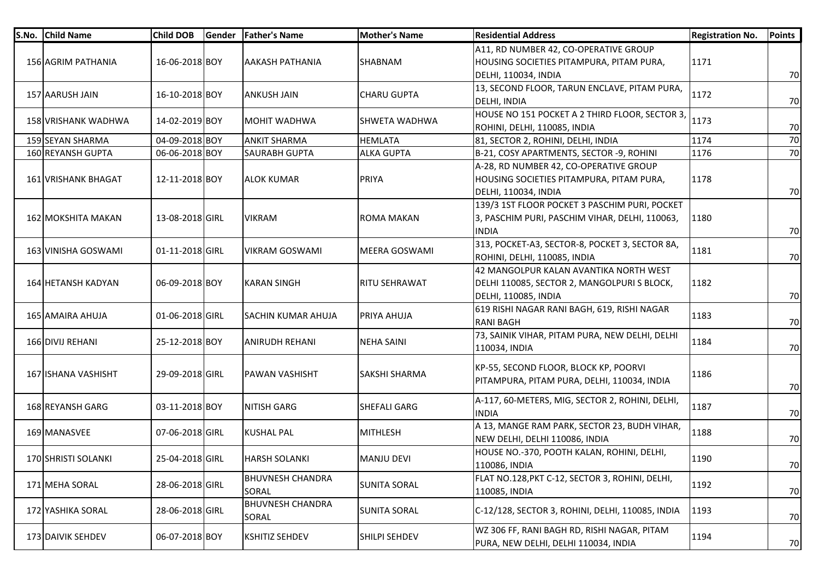| S.No. | <b>Child Name</b>          | <b>Child DOB</b> | <b>Gender</b> | <b>Father's Name</b>             | <b>Mother's Name</b> | <b>Residential Address</b>                                                                                      | <b>Registration No.</b> | <b>Points</b> |
|-------|----------------------------|------------------|---------------|----------------------------------|----------------------|-----------------------------------------------------------------------------------------------------------------|-------------------------|---------------|
|       | 156 AGRIM PATHANIA         | 16-06-2018 BOY   |               | <b>AAKASH PATHANIA</b>           | SHABNAM              | A11, RD NUMBER 42, CO-OPERATIVE GROUP<br>HOUSING SOCIETIES PITAMPURA, PITAM PURA,<br>DELHI, 110034, INDIA       | 1171                    | 70            |
|       | 157 AARUSH JAIN            | 16-10-2018 BOY   |               | <b>ANKUSH JAIN</b>               | <b>CHARU GUPTA</b>   | 13, SECOND FLOOR, TARUN ENCLAVE, PITAM PURA,<br>DELHI, INDIA                                                    | 1172                    | 70            |
|       | <b>158 VRISHANK WADHWA</b> | 14-02-2019 BOY   |               | <b>MOHIT WADHWA</b>              | ISHWETA WADHWA       | HOUSE NO 151 POCKET A 2 THIRD FLOOR, SECTOR 3,<br>ROHINI, DELHI, 110085, INDIA                                  | 1173                    | 70            |
|       | 159 SEYAN SHARMA           | 04-09-2018 BOY   |               | <b>ANKIT SHARMA</b>              | <b>HEMLATA</b>       | 81, SECTOR 2, ROHINI, DELHI, INDIA                                                                              | 1174                    | 70            |
|       | 160 REYANSH GUPTA          | 06-06-2018 BOY   |               | SAURABH GUPTA                    | <b>ALKA GUPTA</b>    | B-21, COSY APARTMENTS, SECTOR -9, ROHINI                                                                        | 1176                    | 70            |
|       | 161 VRISHANK BHAGAT        | 12-11-2018 BOY   |               | <b>ALOK KUMAR</b>                | <b>PRIYA</b>         | A-28, RD NUMBER 42, CO-OPERATIVE GROUP<br>HOUSING SOCIETIES PITAMPURA, PITAM PURA,<br>DELHI, 110034, INDIA      | 1178                    | 70            |
|       | <b>162 MOKSHITA MAKAN</b>  | 13-08-2018 GIRL  |               | <b>VIKRAM</b>                    | <b>ROMA MAKAN</b>    | 139/3 1ST FLOOR POCKET 3 PASCHIM PURI, POCKET<br>3, PASCHIM PURI, PASCHIM VIHAR, DELHI, 110063,<br><b>INDIA</b> | 1180                    | 70            |
|       | 163 VINISHA GOSWAMI        | 01-11-2018 GIRL  |               | VIKRAM GOSWAMI                   | lMEERA GOSWAMI       | 313, POCKET-A3, SECTOR-8, POCKET 3, SECTOR 8A,<br>ROHINI, DELHI, 110085, INDIA                                  | 1181                    | 70            |
|       | <b>164 HETANSH KADYAN</b>  | 06-09-2018 BOY   |               | <b>KARAN SINGH</b>               | <b>RITU SEHRAWAT</b> | 42 MANGOLPUR KALAN AVANTIKA NORTH WEST<br>DELHI 110085, SECTOR 2, MANGOLPURI S BLOCK,<br>DELHI, 110085, INDIA   | 1182                    | 70            |
|       | 165 AMAIRA AHUJA           | 01-06-2018 GIRL  |               | <b>SACHIN KUMAR AHUJA</b>        | <b>PRIYA AHUJA</b>   | 619 RISHI NAGAR RANI BAGH, 619, RISHI NAGAR<br><b>RANI BAGH</b>                                                 | 1183                    | 70            |
|       | 166 DIVIJ REHANI           | 25-12-2018 BOY   |               | ANIRUDH REHANI                   | <b>NEHA SAINI</b>    | 73, SAINIK VIHAR, PITAM PURA, NEW DELHI, DELHI<br>110034, INDIA                                                 | 1184                    | 70            |
|       | 167 ISHANA VASHISHT        | 29-09-2018 GIRL  |               | PAWAN VASHISHT                   | <b>SAKSHI SHARMA</b> | KP-55, SECOND FLOOR, BLOCK KP, POORVI<br>PITAMPURA, PITAM PURA, DELHI, 110034, INDIA                            | 1186                    | 70            |
|       | 168 REYANSH GARG           | 03-11-2018 BOY   |               | NITISH GARG                      | <b>SHEFALI GARG</b>  | A-117, 60-METERS, MIG, SECTOR 2, ROHINI, DELHI,<br><b>INDIA</b>                                                 | 1187                    | 70            |
|       | 169 MANASVEE               | 07-06-2018 GIRL  |               | <b>KUSHAL PAL</b>                | <b>MITHLESH</b>      | A 13, MANGE RAM PARK, SECTOR 23, BUDH VIHAR,<br>NEW DELHI, DELHI 110086, INDIA                                  | 1188                    | 70            |
|       | 170 SHRISTI SOLANKI        | 25-04-2018 GIRL  |               | <b>HARSH SOLANKI</b>             | <b>MANJU DEVI</b>    | HOUSE NO.-370, POOTH KALAN, ROHINI, DELHI,<br>110086, INDIA                                                     | 1190                    | 70            |
|       | 171 MEHA SORAL             | 28-06-2018 GIRL  |               | <b>BHUVNESH CHANDRA</b><br>SORAL | <b>SUNITA SORAL</b>  | FLAT NO.128, PKT C-12, SECTOR 3, ROHINI, DELHI,<br>110085, INDIA                                                | 1192                    | 70            |
|       | 172 YASHIKA SORAL          | 28-06-2018 GIRL  |               | <b>BHUVNESH CHANDRA</b><br>SORAL | <b>SUNITA SORAL</b>  | C-12/128, SECTOR 3, ROHINI, DELHI, 110085, INDIA                                                                | 1193                    | 70            |
|       | 173 DAIVIK SEHDEV          | 06-07-2018 BOY   |               | KSHITIZ SEHDEV                   | SHILPI SEHDEV        | WZ 306 FF, RANI BAGH RD, RISHI NAGAR, PITAM<br>PURA, NEW DELHI, DELHI 110034, INDIA                             | 1194                    | 70            |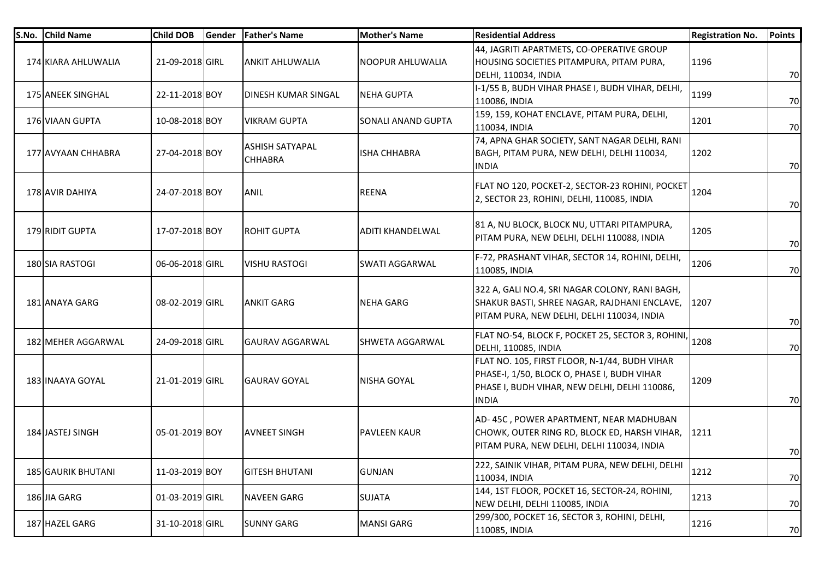| S.No. Child Name          | <b>Child DOB</b> | Gender | <b>Father's Name</b>                     | <b>Mother's Name</b>    | <b>Residential Address</b>                                                                                                                                    | <b>Registration No.</b> | <b>Points</b> |
|---------------------------|------------------|--------|------------------------------------------|-------------------------|---------------------------------------------------------------------------------------------------------------------------------------------------------------|-------------------------|---------------|
| 174 KIARA AHLUWALIA       | 21-09-2018 GIRL  |        | <b>ANKIT AHLUWALIA</b>                   | NOOPUR AHLUWALIA        | 44, JAGRITI APARTMETS, CO-OPERATIVE GROUP<br>HOUSING SOCIETIES PITAMPURA, PITAM PURA,<br>DELHI, 110034, INDIA                                                 | 1196                    | 70            |
| 175 ANEEK SINGHAL         | 22-11-2018 BOY   |        | DINESH KUMAR SINGAL                      | <b>NEHA GUPTA</b>       | I-1/55 B, BUDH VIHAR PHASE I, BUDH VIHAR, DELHI,<br>110086, INDIA                                                                                             | 1199                    | 70            |
| 176 VIAAN GUPTA           | 10-08-2018 BOY   |        | <b>VIKRAM GUPTA</b>                      | SONALI ANAND GUPTA      | 159, 159, KOHAT ENCLAVE, PITAM PURA, DELHI,<br>110034, INDIA                                                                                                  | 1201                    | 70            |
| 177 AVYAAN CHHABRA        | 27-04-2018 BOY   |        | <b>ASHISH SATYAPAL</b><br><b>CHHABRA</b> | <b>ISHA CHHABRA</b>     | 74, APNA GHAR SOCIETY, SANT NAGAR DELHI, RANI<br>BAGH, PITAM PURA, NEW DELHI, DELHI 110034,<br><b>INDIA</b>                                                   | 1202                    | 70            |
| 178 AVIR DAHIYA           | 24-07-2018 BOY   |        | <b>ANIL</b>                              | <b>REENA</b>            | FLAT NO 120, POCKET-2, SECTOR-23 ROHINI, POCKET<br>2, SECTOR 23, ROHINI, DELHI, 110085, INDIA                                                                 | 1204                    | 70            |
| 179 RIDIT GUPTA           | 17-07-2018 BOY   |        | <b>ROHIT GUPTA</b>                       | <b>ADITI KHANDELWAL</b> | 81 A, NU BLOCK, BLOCK NU, UTTARI PITAMPURA,<br>PITAM PURA, NEW DELHI, DELHI 110088, INDIA                                                                     | 1205                    | 70            |
| 180 SIA RASTOGI           | 06-06-2018 GIRL  |        | <b>VISHU RASTOGI</b>                     | <b>SWATI AGGARWAL</b>   | F-72, PRASHANT VIHAR, SECTOR 14, ROHINI, DELHI,<br>110085, INDIA                                                                                              | 1206                    | 70            |
| 181 ANAYA GARG            | 08-02-2019 GIRL  |        | <b>ANKIT GARG</b>                        | NEHA GARG               | 322 A, GALI NO.4, SRI NAGAR COLONY, RANI BAGH,<br>SHAKUR BASTI, SHREE NAGAR, RAJDHANI ENCLAVE,<br>PITAM PURA, NEW DELHI, DELHI 110034, INDIA                  | 1207                    | 70            |
| 182 MEHER AGGARWAL        | 24-09-2018 GIRL  |        | <b>GAURAV AGGARWAL</b>                   | <b>SHWETA AGGARWAL</b>  | FLAT NO-54, BLOCK F, POCKET 25, SECTOR 3, ROHINI,<br>DELHI, 110085, INDIA                                                                                     | 1208                    | 70            |
| 183 INAAYA GOYAL          | 21-01-2019 GIRL  |        | <b>GAURAV GOYAL</b>                      | <b>NISHA GOYAL</b>      | FLAT NO. 105, FIRST FLOOR, N-1/44, BUDH VIHAR<br>PHASE-I, 1/50, BLOCK O, PHASE I, BUDH VIHAR<br>PHASE I, BUDH VIHAR, NEW DELHI, DELHI 110086,<br><b>INDIA</b> | 1209                    | 70            |
| 184 JASTEJ SINGH          | 05-01-2019 BOY   |        | <b>AVNEET SINGH</b>                      | <b>PAVLEEN KAUR</b>     | AD-45C, POWER APARTMENT, NEAR MADHUBAN<br>CHOWK, OUTER RING RD, BLOCK ED, HARSH VIHAR,<br>PITAM PURA, NEW DELHI, DELHI 110034, INDIA                          | 1211                    | 70            |
| <b>185 GAURIK BHUTANI</b> | 11-03-2019 BOY   |        | <b>GITESH BHUTANI</b>                    | <b>GUNJAN</b>           | 222, SAINIK VIHAR, PITAM PURA, NEW DELHI, DELHI<br>110034, INDIA                                                                                              | 1212                    | 70            |
| 186 JIA GARG              | 01-03-2019 GIRL  |        | <b>NAVEEN GARG</b>                       | <b>SUJATA</b>           | 144, 1ST FLOOR, POCKET 16, SECTOR-24, ROHINI,<br>NEW DELHI, DELHI 110085, INDIA                                                                               | 1213                    | 70            |
| 187 HAZEL GARG            | 31-10-2018 GIRL  |        | <b>SUNNY GARG</b>                        | <b>MANSI GARG</b>       | 299/300, POCKET 16, SECTOR 3, ROHINI, DELHI,<br>110085, INDIA                                                                                                 | 1216                    | 70            |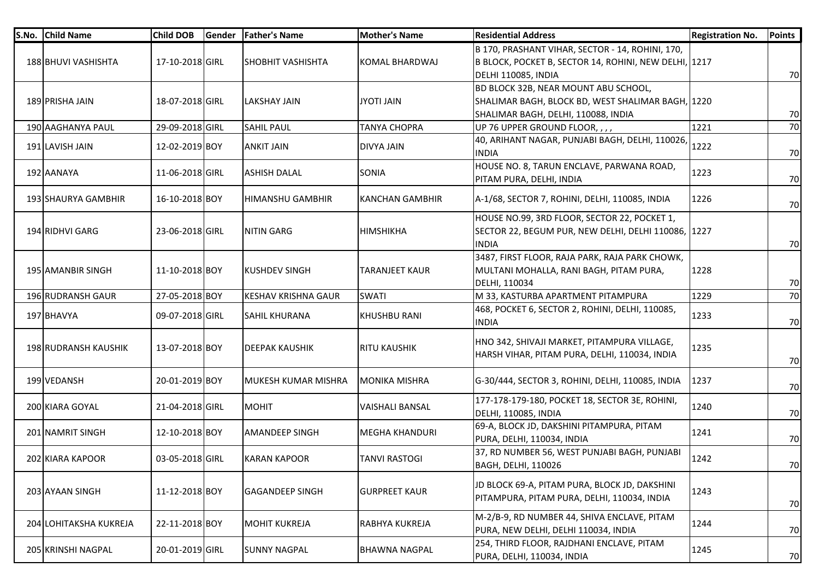| S.No. | <b>Child Name</b>      | <b>Child DOB</b> | Gender | <b>Father's Name</b>       | <b>Mother's Name</b>   | <b>Residential Address</b>                                                                                                       | <b>Registration No.</b> | <b>Points</b> |
|-------|------------------------|------------------|--------|----------------------------|------------------------|----------------------------------------------------------------------------------------------------------------------------------|-------------------------|---------------|
|       | 188 BHUVI VASHISHTA    | 17-10-2018 GIRL  |        | <b>SHOBHIT VASHISHTA</b>   | <b>KOMAL BHARDWAJ</b>  | B 170, PRASHANT VIHAR, SECTOR - 14, ROHINI, 170,<br>B BLOCK, POCKET B, SECTOR 14, ROHINI, NEW DELHI, 1217<br>DELHI 110085, INDIA |                         | 70            |
|       | 189 PRISHA JAIN        | 18-07-2018 GIRL  |        | LAKSHAY JAIN               | JYOTI JAIN             | BD BLOCK 32B, NEAR MOUNT ABU SCHOOL,<br>SHALIMAR BAGH, BLOCK BD, WEST SHALIMAR BAGH, 1220<br>SHALIMAR BAGH, DELHI, 110088, INDIA |                         | 70            |
|       | 190 AAGHANYA PAUL      | 29-09-2018 GIRL  |        | <b>SAHIL PAUL</b>          | <b>TANYA CHOPRA</b>    | UP 76 UPPER GROUND FLOOR, , , ,                                                                                                  | 1221                    | 70            |
|       | 191 LAVISH JAIN        | 12-02-2019 BOY   |        | <b>ANKIT JAIN</b>          | DIVYA JAIN             | 40, ARIHANT NAGAR, PUNJABI BAGH, DELHI, 110026,<br><b>INDIA</b>                                                                  | 1222                    | 70            |
|       | 192 AANAYA             | 11-06-2018 GIRL  |        | ASHISH DALAL               | <b>SONIA</b>           | HOUSE NO. 8, TARUN ENCLAVE, PARWANA ROAD,<br>PITAM PURA, DELHI, INDIA                                                            | 1223                    | 70            |
|       | 193 SHAURYA GAMBHIR    | 16-10-2018 BOY   |        | HIMANSHU GAMBHIR           | <b>KANCHAN GAMBHIR</b> | A-1/68, SECTOR 7, ROHINI, DELHI, 110085, INDIA                                                                                   | 1226                    | 70            |
|       | 194 RIDHVI GARG        | 23-06-2018 GIRL  |        | <b>NITIN GARG</b>          | <b>HIMSHIKHA</b>       | HOUSE NO.99, 3RD FLOOR, SECTOR 22, POCKET 1,<br>SECTOR 22, BEGUM PUR, NEW DELHI, DELHI 110086, 1227<br><b>INDIA</b>              |                         | 70            |
|       | 195 AMANBIR SINGH      | 11-10-2018 BOY   |        | <b>KUSHDEV SINGH</b>       | <b>TARANJEET KAUR</b>  | 3487, FIRST FLOOR, RAJA PARK, RAJA PARK CHOWK,<br>MULTANI MOHALLA, RANI BAGH, PITAM PURA,<br>DELHI, 110034                       | 1228                    | 70            |
|       | 196 RUDRANSH GAUR      | 27-05-2018 BOY   |        | <b>KESHAV KRISHNA GAUR</b> | <b>SWATI</b>           | M 33, KASTURBA APARTMENT PITAMPURA                                                                                               | 1229                    | 70            |
|       | 197 BHAVYA             | 09-07-2018 GIRL  |        | <b>SAHIL KHURANA</b>       | <b>KHUSHBU RANI</b>    | 468, POCKET 6, SECTOR 2, ROHINI, DELHI, 110085,<br>INDIA                                                                         | 1233                    | 70            |
|       | 198 RUDRANSH KAUSHIK   | 13-07-2018 BOY   |        | <b>DEEPAK KAUSHIK</b>      | <b>RITU KAUSHIK</b>    | HNO 342, SHIVAJI MARKET, PITAMPURA VILLAGE,<br>HARSH VIHAR, PITAM PURA, DELHI, 110034, INDIA                                     | 1235                    | 70            |
|       | 199 VEDANSH            | 20-01-2019 BOY   |        | MUKESH KUMAR MISHRA        | <b>MONIKA MISHRA</b>   | G-30/444, SECTOR 3, ROHINI, DELHI, 110085, INDIA                                                                                 | 1237                    | 70            |
|       | 200 KIARA GOYAL        | 21-04-2018 GIRL  |        | <b>MOHIT</b>               | <b>VAISHALI BANSAL</b> | 177-178-179-180, POCKET 18, SECTOR 3E, ROHINI,<br><b>DELHI, 110085, INDIA</b>                                                    | 1240                    | 70            |
|       | 201 NAMRIT SINGH       | 12-10-2018 BOY   |        | <b>AMANDEEP SINGH</b>      | <b>MEGHA KHANDURI</b>  | 69-A, BLOCK JD, DAKSHINI PITAMPURA, PITAM<br>PURA, DELHI, 110034, INDIA                                                          | 1241                    | 70            |
|       | 202 KIARA KAPOOR       | 03-05-2018 GIRL  |        | <b>KARAN KAPOOR</b>        | <b>TANVI RASTOGI</b>   | 37, RD NUMBER 56, WEST PUNJABI BAGH, PUNJABI<br><b>BAGH, DELHI, 110026</b>                                                       | 1242                    | 70            |
|       | 203 AYAAN SINGH        | 11-12-2018 BOY   |        | <b>GAGANDEEP SINGH</b>     | <b>GURPREET KAUR</b>   | JD BLOCK 69-A, PITAM PURA, BLOCK JD, DAKSHINI<br>PITAMPURA, PITAM PURA, DELHI, 110034, INDIA                                     | 1243                    | 70            |
|       | 204 LOHITAKSHA KUKREJA | 22-11-2018 BOY   |        | <b>MOHIT KUKREJA</b>       | RABHYA KUKREJA         | M-2/B-9, RD NUMBER 44, SHIVA ENCLAVE, PITAM<br>PURA, NEW DELHI, DELHI 110034, INDIA                                              | 1244                    | 70            |
|       | 205 KRINSHI NAGPAL     | 20-01-2019 GIRL  |        | <b>SUNNY NAGPAL</b>        | <b>BHAWNA NAGPAL</b>   | 254, THIRD FLOOR, RAJDHANI ENCLAVE, PITAM<br>PURA, DELHI, 110034, INDIA                                                          | 1245                    | 70            |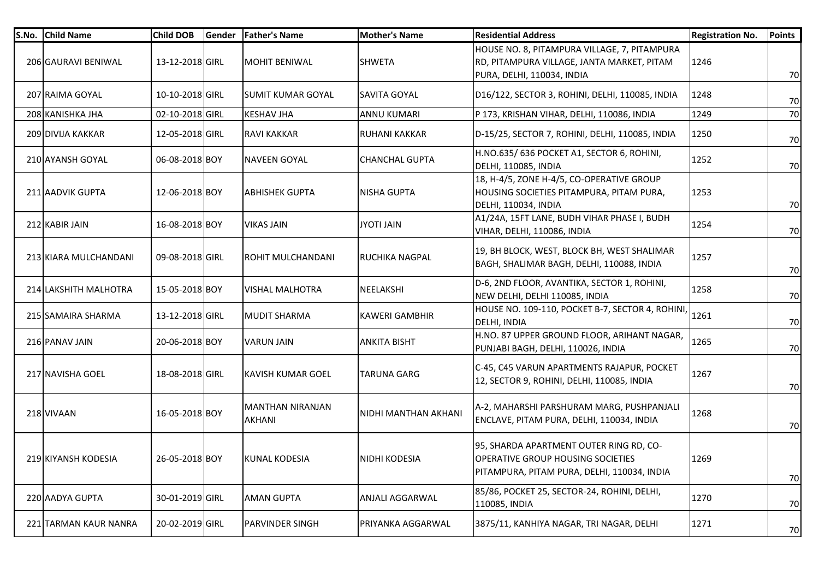| S.No. | <b>Child Name</b>     | <b>Child DOB</b> | Gender | <b>Father's Name</b>       | <b>Mother's Name</b>     | <b>Residential Address</b>                                                                                                  | <b>Registration No.</b> | <b>Points</b> |
|-------|-----------------------|------------------|--------|----------------------------|--------------------------|-----------------------------------------------------------------------------------------------------------------------------|-------------------------|---------------|
|       | 206 GAURAVI BENIWAL   | 13-12-2018 GIRL  |        | MOHIT BENIWAL              | <b>SHWETA</b>            | HOUSE NO. 8, PITAMPURA VILLAGE, 7, PITAMPURA<br>RD, PITAMPURA VILLAGE, JANTA MARKET, PITAM<br>PURA, DELHI, 110034, INDIA    | 1246                    | 70            |
|       | 207 RAIMA GOYAL       | 10-10-2018 GIRL  |        | <b>SUMIT KUMAR GOYAL</b>   | <b>SAVITA GOYAL</b>      | D16/122, SECTOR 3, ROHINI, DELHI, 110085, INDIA                                                                             | 1248                    | 70            |
|       | 208 KANISHKA JHA      | 02-10-2018 GIRL  |        | <b>KESHAV JHA</b>          | <b>ANNU KUMARI</b>       | P 173, KRISHAN VIHAR, DELHI, 110086, INDIA                                                                                  | 1249                    | 70            |
|       | 209 DIVIJA KAKKAR     | 12-05-2018 GIRL  |        | <b>RAVI KAKKAR</b>         | <b>RUHANI KAKKAR</b>     | D-15/25, SECTOR 7, ROHINI, DELHI, 110085, INDIA                                                                             | 1250                    | 70            |
|       | 210 AYANSH GOYAL      | 06-08-2018 BOY   |        | <b>NAVEEN GOYAL</b>        | <b>CHANCHAL GUPTA</b>    | H.NO.635/636 POCKET A1, SECTOR 6, ROHINI,<br>DELHI, 110085, INDIA                                                           | 1252                    | 70            |
|       | 211 AADVIK GUPTA      | 12-06-2018 BOY   |        | <b>ABHISHEK GUPTA</b>      | <b>NISHA GUPTA</b>       | 18, H-4/5, ZONE H-4/5, CO-OPERATIVE GROUP<br>HOUSING SOCIETIES PITAMPURA, PITAM PURA,<br>DELHI, 110034, INDIA               | 1253                    | 70            |
|       | 212 KABIR JAIN        | 16-08-2018 BOY   |        | <b>VIKAS JAIN</b>          | JYOTI JAIN               | A1/24A, 15FT LANE, BUDH VIHAR PHASE I, BUDH<br>VIHAR, DELHI, 110086, INDIA                                                  | 1254                    | 70            |
|       | 213 KIARA MULCHANDANI | 09-08-2018 GIRL  |        | ROHIT MULCHANDANI          | <b>RUCHIKA NAGPAL</b>    | 19, BH BLOCK, WEST, BLOCK BH, WEST SHALIMAR<br>BAGH, SHALIMAR BAGH, DELHI, 110088, INDIA                                    | 1257                    | 70            |
|       | 214 LAKSHITH MALHOTRA | 15-05-2018 BOY   |        | <b>VISHAL MALHOTRA</b>     | NEELAKSHI                | D-6, 2ND FLOOR, AVANTIKA, SECTOR 1, ROHINI,<br>NEW DELHI, DELHI 110085, INDIA                                               | 1258                    | 70            |
|       | 215 SAMAIRA SHARMA    | 13-12-2018 GIRL  |        | <b>MUDIT SHARMA</b>        | <b>KAWERI GAMBHIR</b>    | HOUSE NO. 109-110, POCKET B-7, SECTOR 4, ROHINI,<br><b>DELHI, INDIA</b>                                                     | 1261                    | 70            |
|       | 216 PANAV JAIN        | 20-06-2018 BOY   |        | <b>VARUN JAIN</b>          | <b>ANKITA BISHT</b>      | H.NO. 87 UPPER GROUND FLOOR, ARIHANT NAGAR,<br>PUNJABI BAGH, DELHI, 110026, INDIA                                           | 1265                    | 70            |
|       | 217 NAVISHA GOEL      | 18-08-2018 GIRL  |        | KAVISH KUMAR GOEL          | <b>TARUNA GARG</b>       | C-45, C45 VARUN APARTMENTS RAJAPUR, POCKET<br>12, SECTOR 9, ROHINI, DELHI, 110085, INDIA                                    | 1267                    | 70            |
|       | 218 VIVAAN            | 16-05-2018 BOY   |        | MANTHAN NIRANJAN<br>AKHANI | NIDHI MANTHAN AKHANI     | A-2, MAHARSHI PARSHURAM MARG, PUSHPANJALI<br>ENCLAVE, PITAM PURA, DELHI, 110034, INDIA                                      | 1268                    | 70            |
|       | 219 KIYANSH KODESIA   | 26-05-2018 BOY   |        | <b>KUNAL KODESIA</b>       | NIDHI KODESIA            | 95, SHARDA APARTMENT OUTER RING RD, CO-<br>OPERATIVE GROUP HOUSING SOCIETIES<br>PITAMPURA, PITAM PURA, DELHI, 110034, INDIA | 1269                    | 70            |
|       | 220 AADYA GUPTA       | 30-01-2019 GIRL  |        | <b>AMAN GUPTA</b>          | <b>ANJALI AGGARWAL</b>   | 85/86, POCKET 25, SECTOR-24, ROHINI, DELHI,<br>110085, INDIA                                                                | 1270                    | 70            |
|       | 221 TARMAN KAUR NANRA | 20-02-2019 GIRL  |        | PARVINDER SINGH            | <b>PRIYANKA AGGARWAL</b> | 3875/11, KANHIYA NAGAR, TRI NAGAR, DELHI                                                                                    | 1271                    | 70            |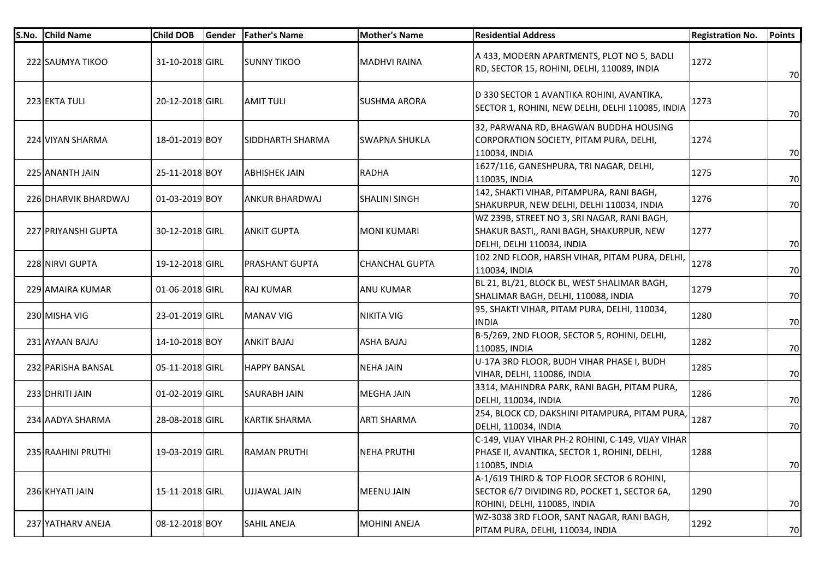| S.No. Child Name     | <b>Child DOB</b> | Gender | <b>Father's Name</b>  | <b>Mother's Name</b> | <b>Residential Address</b>                                                                                                 | <b>Registration No.</b> | <b>Points</b> |
|----------------------|------------------|--------|-----------------------|----------------------|----------------------------------------------------------------------------------------------------------------------------|-------------------------|---------------|
| 222 SAUMYA TIKOO     | 31-10-2018 GIRL  |        | <b>SUNNY TIKOO</b>    | <b>MADHVI RAINA</b>  | A 433, MODERN APARTMENTS, PLOT NO 5, BADLI<br>RD, SECTOR 15, ROHINI, DELHI, 110089, INDIA                                  | 1272                    | 70            |
| 223 EKTA TULI        | 20-12-2018 GIRL  |        | <b>AMIT TULI</b>      | <b>SUSHMA ARORA</b>  | D 330 SECTOR 1 AVANTIKA ROHINI, AVANTIKA,<br>SECTOR 1, ROHINI, NEW DELHI, DELHI 110085, INDIA                              | 1273                    | 70            |
| 224 VIYAN SHARMA     | 18-01-2019 BOY   |        | SIDDHARTH SHARMA      | ISWAPNA SHUKLA       | 32, PARWANA RD, BHAGWAN BUDDHA HOUSING<br>CORPORATION SOCIETY, PITAM PURA, DELHI,<br>110034, INDIA                         | 1274                    | 70            |
| 225 ANANTH JAIN      | 25-11-2018 BOY   |        | <b>ABHISHEK JAIN</b>  | <b>RADHA</b>         | 1627/116, GANESHPURA, TRI NAGAR, DELHI,<br>110035, INDIA                                                                   | 1275                    | 70            |
| 226 DHARVIK BHARDWAJ | 01-03-2019 BOY   |        | <b>ANKUR BHARDWAJ</b> | <b>SHALINI SINGH</b> | 142, SHAKTI VIHAR, PITAMPURA, RANI BAGH,<br>SHAKURPUR, NEW DELHI, DELHI 110034, INDIA                                      | 1276                    | 70            |
| 227 PRIYANSHI GUPTA  | 30-12-2018 GIRL  |        | <b>ANKIT GUPTA</b>    | <b>MONI KUMARI</b>   | WZ 239B, STREET NO 3, SRI NAGAR, RANI BAGH,<br>SHAKUR BASTI,, RANI BAGH, SHAKURPUR, NEW<br>DELHI, DELHI 110034, INDIA      | 1277                    | 70            |
| 228 NIRVI GUPTA      | 19-12-2018 GIRL  |        | PRASHANT GUPTA        | ICHANCHAL GUPTA      | 102 2ND FLOOR, HARSH VIHAR, PITAM PURA, DELHI,<br>110034, INDIA                                                            | 1278                    | 70            |
| 229 AMAIRA KUMAR     | 01-06-2018 GIRL  |        | <b>RAJ KUMAR</b>      | <b>ANU KUMAR</b>     | BL 21, BL/21, BLOCK BL, WEST SHALIMAR BAGH,<br>SHALIMAR BAGH, DELHI, 110088, INDIA                                         | 1279                    | 70            |
| 230 MISHA VIG        | 23-01-2019 GIRL  |        | <b>MANAV VIG</b>      | <b>NIKITA VIG</b>    | 95, SHAKTI VIHAR, PITAM PURA, DELHI, 110034,<br><b>INDIA</b>                                                               | 1280                    | 70            |
| 231 AYAAN BAJAJ      | 14-10-2018 BOY   |        | <b>ANKIT BAJAJ</b>    | <b>ASHA BAJAJ</b>    | B-5/269, 2ND FLOOR, SECTOR 5, ROHINI, DELHI,<br>110085, INDIA                                                              | 1282                    | 70            |
| 232 PARISHA BANSAL   | 05-11-2018 GIRL  |        | <b>HAPPY BANSAL</b>   | <b>NEHA JAIN</b>     | U-17A 3RD FLOOR, BUDH VIHAR PHASE I, BUDH<br>VIHAR, DELHI, 110086, INDIA                                                   | 1285                    | 70            |
| 233 DHRITI JAIN      | 01-02-2019 GIRL  |        | <b>SAURABH JAIN</b>   | <b>MEGHA JAIN</b>    | 3314, MAHINDRA PARK, RANI BAGH, PITAM PURA,<br>DELHI, 110034, INDIA                                                        | 1286                    | 70            |
| 234 AADYA SHARMA     | 28-08-2018 GIRL  |        | <b>KARTIK SHARMA</b>  | <b>ARTI SHARMA</b>   | 254, BLOCK CD, DAKSHINI PITAMPURA, PITAM PURA,<br><b>DELHI, 110034, INDIA</b>                                              | 1287                    | 70            |
| 235 RAAHINI PRUTHI   | 19-03-2019 GIRL  |        | <b>RAMAN PRUTHI</b>   | <b>NEHA PRUTHI</b>   | C-149, VIJAY VIHAR PH-2 ROHINI, C-149, VIJAY VIHAR<br>PHASE II, AVANTIKA, SECTOR 1, ROHINI, DELHI,<br>110085, INDIA        | 1288                    | 70            |
| 236 KHYATI JAIN      | 15-11-2018 GIRL  |        | UJJAWAL JAIN          | <b>MEENU JAIN</b>    | A-1/619 THIRD & TOP FLOOR SECTOR 6 ROHINI,<br>SECTOR 6/7 DIVIDING RD, POCKET 1, SECTOR 6A,<br>ROHINI, DELHI, 110085, INDIA | 1290                    | 70            |
| 237 YATHARV ANEJA    | 08-12-2018 BOY   |        | <b>SAHIL ANEJA</b>    | <b>MOHINI ANEJA</b>  | WZ-3038 3RD FLOOR, SANT NAGAR, RANI BAGH,<br>PITAM PURA, DELHI, 110034, INDIA                                              | 1292                    | 70            |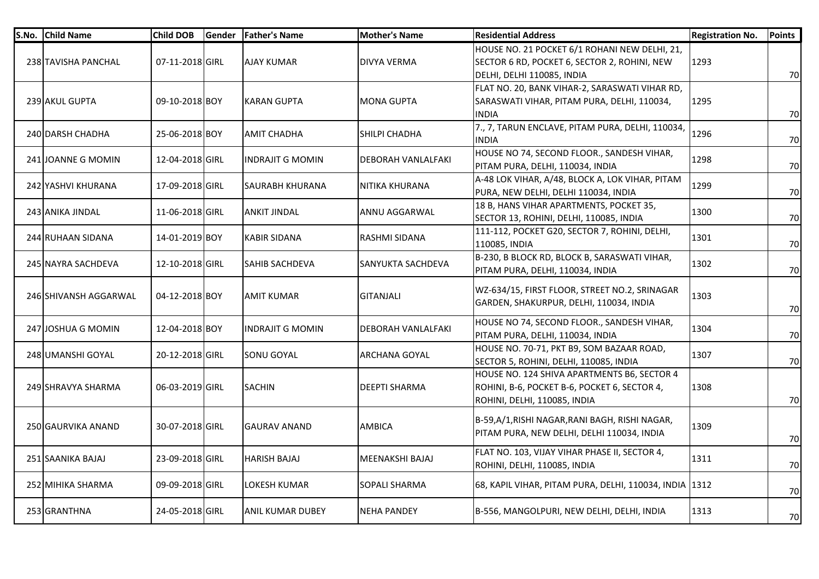| S.No. | <b>Child Name</b>     | Child DOB       | Gender | <b>Father's Name</b>    | <b>Mother's Name</b>      | <b>Residential Address</b>                                                                                                  | <b>Registration No.</b> | <b>Points</b> |
|-------|-----------------------|-----------------|--------|-------------------------|---------------------------|-----------------------------------------------------------------------------------------------------------------------------|-------------------------|---------------|
|       | 238 TAVISHA PANCHAL   | 07-11-2018 GIRL |        | <b>AJAY KUMAR</b>       | <b>DIVYA VERMA</b>        | HOUSE NO. 21 POCKET 6/1 ROHANI NEW DELHI, 21,<br>SECTOR 6 RD, POCKET 6, SECTOR 2, ROHINI, NEW<br>DELHI, DELHI 110085, INDIA | 1293                    | 70            |
|       | 239 AKUL GUPTA        | 09-10-2018 BOY  |        | <b>KARAN GUPTA</b>      | <b>MONA GUPTA</b>         | FLAT NO. 20, BANK VIHAR-2, SARASWATI VIHAR RD,<br>SARASWATI VIHAR, PITAM PURA, DELHI, 110034,<br><b>INDIA</b>               | 1295                    | 70            |
|       | 240 DARSH CHADHA      | 25-06-2018 BOY  |        | <b>AMIT CHADHA</b>      | SHILPI CHADHA             | 7., 7, TARUN ENCLAVE, PITAM PURA, DELHI, 110034,<br><b>INDIA</b>                                                            | 1296                    | 70            |
|       | 241 JOANNE G MOMIN    | 12-04-2018 GIRL |        | INDRAJIT G MOMIN        | <b>DEBORAH VANLALFAKI</b> | HOUSE NO 74, SECOND FLOOR., SANDESH VIHAR,<br>PITAM PURA, DELHI, 110034, INDIA                                              | 1298                    | 70            |
|       | 242 YASHVI KHURANA    | 17-09-2018 GIRL |        | <b>SAURABH KHURANA</b>  | NITIKA KHURANA            | A-48 LOK VIHAR, A/48, BLOCK A, LOK VIHAR, PITAM<br>PURA, NEW DELHI, DELHI 110034, INDIA                                     | 1299                    | 70            |
|       | 243 ANIKA JINDAL      | 11-06-2018 GIRL |        | <b>ANKIT JINDAL</b>     | ANNU AGGARWAL             | 18 B, HANS VIHAR APARTMENTS, POCKET 35,<br>SECTOR 13, ROHINI, DELHI, 110085, INDIA                                          | 1300                    | 70            |
|       | 244 RUHAAN SIDANA     | 14-01-2019 BOY  |        | <b>KABIR SIDANA</b>     | RASHMI SIDANA             | 111-112, POCKET G20, SECTOR 7, ROHINI, DELHI,<br>110085, INDIA                                                              | 1301                    | 70            |
|       | 245 NAYRA SACHDEVA    | 12-10-2018 GIRL |        | <b>SAHIB SACHDEVA</b>   | <b>SANYUKTA SACHDEVA</b>  | B-230, B BLOCK RD, BLOCK B, SARASWATI VIHAR,<br>PITAM PURA, DELHI, 110034, INDIA                                            | 1302                    | 70            |
|       | 246 SHIVANSH AGGARWAL | 04-12-2018 BOY  |        | <b>AMIT KUMAR</b>       | <b>GITANJALI</b>          | WZ-634/15, FIRST FLOOR, STREET NO.2, SRINAGAR<br>GARDEN, SHAKURPUR, DELHI, 110034, INDIA                                    | 1303                    | 70            |
|       | 247 JOSHUA G MOMIN    | 12-04-2018 BOY  |        | <b>INDRAJIT G MOMIN</b> | <b>DEBORAH VANLALFAKI</b> | HOUSE NO 74, SECOND FLOOR., SANDESH VIHAR,<br>PITAM PURA, DELHI, 110034, INDIA                                              | 1304                    | 70            |
|       | 248 UMANSHI GOYAL     | 20-12-2018 GIRL |        | SONU GOYAL              | <b>ARCHANA GOYAL</b>      | HOUSE NO. 70-71, PKT B9, SOM BAZAAR ROAD,<br>SECTOR 5, ROHINI, DELHI, 110085, INDIA                                         | 1307                    | 70            |
|       | 249 SHRAVYA SHARMA    | 06-03-2019 GIRL |        | <b>SACHIN</b>           | <b>DEEPTI SHARMA</b>      | HOUSE NO. 124 SHIVA APARTMENTS B6, SECTOR 4<br>ROHINI, B-6, POCKET B-6, POCKET 6, SECTOR 4,<br>ROHINI, DELHI, 110085, INDIA | 1308                    | 70            |
|       | 250 GAURVIKA ANAND    | 30-07-2018 GIRL |        | <b>GAURAV ANAND</b>     | <b>AMBICA</b>             | B-59,A/1,RISHI NAGAR,RANI BAGH, RISHI NAGAR,<br>PITAM PURA, NEW DELHI, DELHI 110034, INDIA                                  | 1309                    | 70            |
|       | 251 SAANIKA BAJAJ     | 23-09-2018 GIRL |        | <b>HARISH BAJAJ</b>     | MEENAKSHI BAJAJ           | FLAT NO. 103, VIJAY VIHAR PHASE II, SECTOR 4,<br>ROHINI, DELHI, 110085, INDIA                                               | 1311                    | 70            |
|       | 252 MIHIKA SHARMA     | 09-09-2018 GIRL |        | LOKESH KUMAR            | <b>SOPALI SHARMA</b>      | 68, KAPIL VIHAR, PITAM PURA, DELHI, 110034, INDIA 1312                                                                      |                         | 70            |
|       | 253 GRANTHNA          | 24-05-2018 GIRL |        | <b>ANIL KUMAR DUBEY</b> | <b>NEHA PANDEY</b>        | B-556, MANGOLPURI, NEW DELHI, DELHI, INDIA                                                                                  | 1313                    | 70            |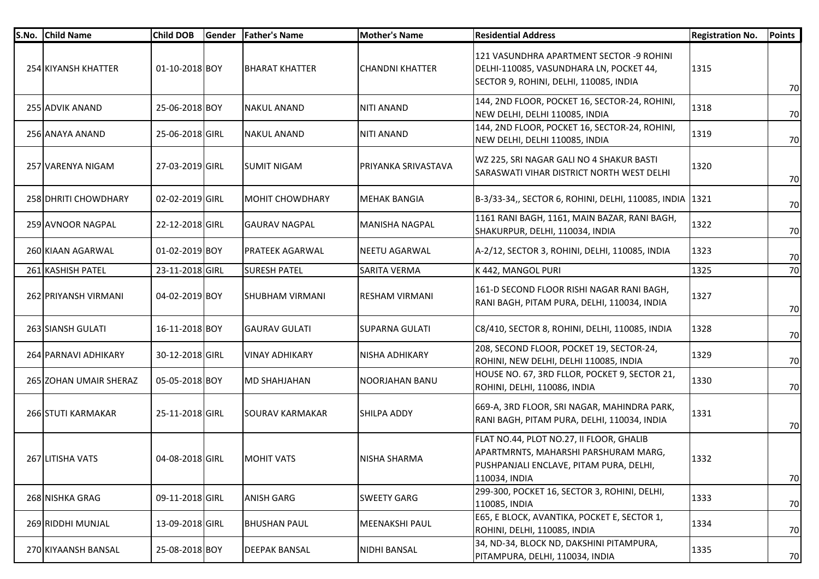| S.No. | <b>Child Name</b>      | <b>Child DOB</b> | Gender | <b>Father's Name</b>   | <b>Mother's Name</b>   | <b>Residential Address</b>                                                                                                                   | <b>Registration No.</b> | <b>Points</b> |
|-------|------------------------|------------------|--------|------------------------|------------------------|----------------------------------------------------------------------------------------------------------------------------------------------|-------------------------|---------------|
|       | 254 KIYANSH KHATTER    | 01-10-2018 BOY   |        | <b>BHARAT KHATTER</b>  | <b>CHANDNI KHATTER</b> | 121 VASUNDHRA APARTMENT SECTOR -9 ROHINI<br>DELHI-110085, VASUNDHARA LN, POCKET 44,<br>SECTOR 9, ROHINI, DELHI, 110085, INDIA                | 1315                    | 70            |
|       | 255 ADVIK ANAND        | 25-06-2018 BOY   |        | <b>NAKUL ANAND</b>     | <b>NITI ANAND</b>      | 144, 2ND FLOOR, POCKET 16, SECTOR-24, ROHINI,<br>NEW DELHI, DELHI 110085, INDIA                                                              | 1318                    | 70            |
|       | 256 ANAYA ANAND        | 25-06-2018 GIRL  |        | <b>NAKUL ANAND</b>     | <b>NITI ANAND</b>      | 144, 2ND FLOOR, POCKET 16, SECTOR-24, ROHINI,<br>NEW DELHI, DELHI 110085, INDIA                                                              | 1319                    | 70            |
|       | 257 VARENYA NIGAM      | 27-03-2019 GIRL  |        | <b>SUMIT NIGAM</b>     | PRIYANKA SRIVASTAVA    | WZ 225, SRI NAGAR GALI NO 4 SHAKUR BASTI<br>SARASWATI VIHAR DISTRICT NORTH WEST DELHI                                                        | 1320                    | 70            |
|       | 258 DHRITI CHOWDHARY   | 02-02-2019 GIRL  |        | <b>MOHIT CHOWDHARY</b> | <b>MEHAK BANGIA</b>    | B-3/33-34,, SECTOR 6, ROHINI, DELHI, 110085, INDIA 1321                                                                                      |                         | 70            |
|       | 259 AVNOOR NAGPAL      | 22-12-2018 GIRL  |        | <b>GAURAV NAGPAL</b>   | <b>MANISHA NAGPAL</b>  | 1161 RANI BAGH, 1161, MAIN BAZAR, RANI BAGH,<br>SHAKURPUR, DELHI, 110034, INDIA                                                              | 1322                    | 70            |
|       | 260 KIAAN AGARWAL      | 01-02-2019 BOY   |        | <b>PRATEEK AGARWAL</b> | <b>NEETU AGARWAL</b>   | A-2/12, SECTOR 3, ROHINI, DELHI, 110085, INDIA                                                                                               | 1323                    | 70            |
|       | 261 KASHISH PATEL      | 23-11-2018 GIRL  |        | <b>SURESH PATEL</b>    | <b>SARITA VERMA</b>    | K 442, MANGOL PURI                                                                                                                           | 1325                    | 70            |
|       | 262 PRIYANSH VIRMANI   | 04-02-2019 BOY   |        | <b>SHUBHAM VIRMANI</b> | <b>RESHAM VIRMANI</b>  | 161-D SECOND FLOOR RISHI NAGAR RANI BAGH,<br>RANI BAGH, PITAM PURA, DELHI, 110034, INDIA                                                     | 1327                    | 70            |
|       | 263 SIANSH GULATI      | 16-11-2018 BOY   |        | IGAURAV GULATI         | <b>SUPARNA GULATI</b>  | C8/410, SECTOR 8, ROHINI, DELHI, 110085, INDIA                                                                                               | 1328                    | 70            |
|       | 264 PARNAVI ADHIKARY   | 30-12-2018 GIRL  |        | <b>VINAY ADHIKARY</b>  | <b>NISHA ADHIKARY</b>  | 208, SECOND FLOOR, POCKET 19, SECTOR-24,<br>ROHINI, NEW DELHI, DELHI 110085, INDIA                                                           | 1329                    | 70            |
|       | 265 ZOHAN UMAIR SHERAZ | 05-05-2018 BOY   |        | <b>MD SHAHJAHAN</b>    | <b>NOORJAHAN BANU</b>  | HOUSE NO. 67, 3RD FLLOR, POCKET 9, SECTOR 21,<br>ROHINI, DELHI, 110086, INDIA                                                                | 1330                    | 70            |
|       | 266 STUTI KARMAKAR     | 25-11-2018 GIRL  |        | <b>SOURAV KARMAKAR</b> | SHILPA ADDY            | 669-A, 3RD FLOOR, SRI NAGAR, MAHINDRA PARK,<br>RANI BAGH, PITAM PURA, DELHI, 110034, INDIA                                                   | 1331                    | 70            |
|       | 267 LITISHA VATS       | 04-08-2018 GIRL  |        | <b>MOHIT VATS</b>      | NISHA SHARMA           | FLAT NO.44, PLOT NO.27, II FLOOR, GHALIB<br>APARTMRNTS, MAHARSHI PARSHURAM MARG,<br>PUSHPANJALI ENCLAVE, PITAM PURA, DELHI,<br>110034, INDIA | 1332                    | 70            |
|       | 268 NISHKA GRAG        | 09-11-2018 GIRL  |        | <b>ANISH GARG</b>      | <b>SWEETY GARG</b>     | 299-300, POCKET 16, SECTOR 3, ROHINI, DELHI,<br>110085, INDIA                                                                                | 1333                    | 70            |
|       | 269 RIDDHI MUNJAL      | 13-09-2018 GIRL  |        | <b>BHUSHAN PAUL</b>    | MEENAKSHI PAUL         | E65, E BLOCK, AVANTIKA, POCKET E, SECTOR 1,<br>ROHINI, DELHI, 110085, INDIA                                                                  | 1334                    | 70            |
|       | 270 KIYAANSH BANSAL    | 25-08-2018 BOY   |        | <b>DEEPAK BANSAL</b>   | NIDHI BANSAL           | 34, ND-34, BLOCK ND, DAKSHINI PITAMPURA,<br>PITAMPURA, DELHI, 110034, INDIA                                                                  | 1335                    | 70            |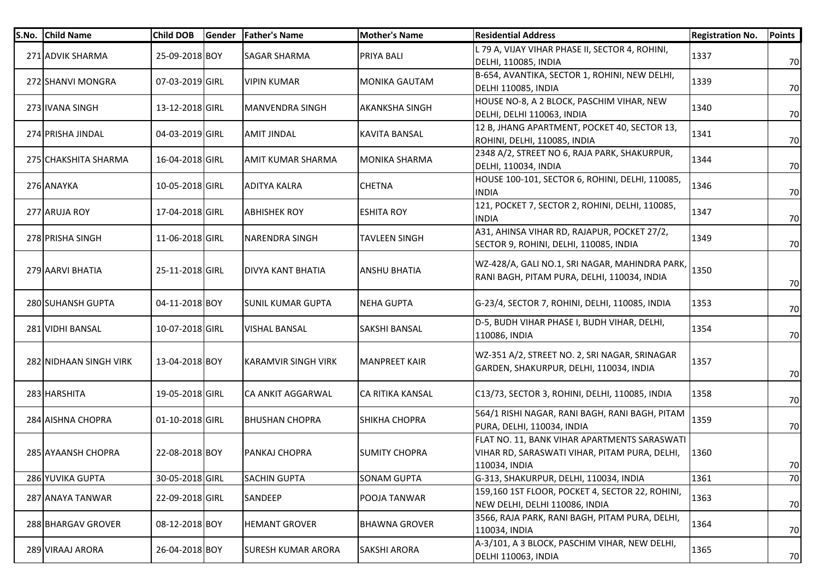| S.No. | <b>Child Name</b>      | <b>Child DOB</b> | Gender | <b>Father's Name</b>       | <b>Mother's Name</b>    | <b>Residential Address</b>                                                                                     | <b>Registration No.</b> | <b>Points</b> |
|-------|------------------------|------------------|--------|----------------------------|-------------------------|----------------------------------------------------------------------------------------------------------------|-------------------------|---------------|
|       | 271 ADVIK SHARMA       | 25-09-2018 BOY   |        | SAGAR SHARMA               | <b>PRIYA BALI</b>       | L 79 A, VIJAY VIHAR PHASE II, SECTOR 4, ROHINI,<br>DELHI, 110085, INDIA                                        | 1337                    | 70            |
|       | 272 SHANVI MONGRA      | 07-03-2019 GIRL  |        | <b>VIPIN KUMAR</b>         | <b>MONIKA GAUTAM</b>    | B-654, AVANTIKA, SECTOR 1, ROHINI, NEW DELHI,<br>DELHI 110085, INDIA                                           | 1339                    | 70            |
|       | 273 IVANA SINGH        | 13-12-2018 GIRL  |        | <b>MANVENDRA SINGH</b>     | <b>AKANKSHA SINGH</b>   | HOUSE NO-8, A 2 BLOCK, PASCHIM VIHAR, NEW<br>DELHI, DELHI 110063, INDIA                                        | 1340                    | 70            |
|       | 274 PRISHA JINDAL      | 04-03-2019 GIRL  |        | <b>AMIT JINDAL</b>         | <b>KAVITA BANSAL</b>    | 12 B, JHANG APARTMENT, POCKET 40, SECTOR 13,<br>ROHINI, DELHI, 110085, INDIA                                   | 1341                    | 70            |
|       | 275 CHAKSHITA SHARMA   | 16-04-2018 GIRL  |        | <b>AMIT KUMAR SHARMA</b>   | <b>MONIKA SHARMA</b>    | 2348 A/2, STREET NO 6, RAJA PARK, SHAKURPUR,<br>DELHI, 110034, INDIA                                           | 1344                    | 70            |
|       | 276 ANAYKA             | 10-05-2018 GIRL  |        | ADITYA KALRA               | <b>CHETNA</b>           | HOUSE 100-101, SECTOR 6, ROHINI, DELHI, 110085,<br><b>INDIA</b>                                                | 1346                    | 70            |
|       | 277 ARUJA ROY          | 17-04-2018 GIRL  |        | <b>ABHISHEK ROY</b>        | <b>ESHITA ROY</b>       | 121, POCKET 7, SECTOR 2, ROHINI, DELHI, 110085,<br><b>INDIA</b>                                                | 1347                    | 70            |
|       | 278 PRISHA SINGH       | 11-06-2018 GIRL  |        | <b>NARENDRA SINGH</b>      | <b>TAVLEEN SINGH</b>    | A31, AHINSA VIHAR RD, RAJAPUR, POCKET 27/2,<br>SECTOR 9, ROHINI, DELHI, 110085, INDIA                          | 1349                    | 70            |
|       | 279 AARVI BHATIA       | 25-11-2018 GIRL  |        | DIVYA KANT BHATIA          | <b>ANSHU BHATIA</b>     | WZ-428/A, GALI NO.1, SRI NAGAR, MAHINDRA PARK,<br>RANI BAGH, PITAM PURA, DELHI, 110034, INDIA                  | 1350                    | 70            |
|       | 280 SUHANSH GUPTA      | 04-11-2018 BOY   |        | <b>SUNIL KUMAR GUPTA</b>   | <b>NEHA GUPTA</b>       | G-23/4, SECTOR 7, ROHINI, DELHI, 110085, INDIA                                                                 | 1353                    | 70            |
|       | 281 VIDHI BANSAL       | 10-07-2018 GIRL  |        | <b>VISHAL BANSAL</b>       | SAKSHI BANSAL           | D-5, BUDH VIHAR PHASE I, BUDH VIHAR, DELHI,<br>110086, INDIA                                                   | 1354                    | 70            |
|       | 282 NIDHAAN SINGH VIRK | 13-04-2018 BOY   |        | <b>KARAMVIR SINGH VIRK</b> | <b>MANPREET KAIR</b>    | WZ-351 A/2, STREET NO. 2, SRI NAGAR, SRINAGAR<br>GARDEN, SHAKURPUR, DELHI, 110034, INDIA                       | 1357                    | 70            |
|       | 283 HARSHITA           | 19-05-2018 GIRL  |        | CA ANKIT AGGARWAL          | <b>CA RITIKA KANSAL</b> | C13/73, SECTOR 3, ROHINI, DELHI, 110085, INDIA                                                                 | 1358                    | 70            |
|       | 284 AISHNA CHOPRA      | 01-10-2018 GIRL  |        | <b>BHUSHAN CHOPRA</b>      | <b>SHIKHA CHOPRA</b>    | 564/1 RISHI NAGAR, RANI BAGH, RANI BAGH, PITAM<br>PURA, DELHI, 110034, INDIA                                   | 1359                    | 70            |
|       | 285 AYAANSH CHOPRA     | 22-08-2018 BOY   |        | PANKAJ CHOPRA              | <b>SUMITY CHOPRA</b>    | FLAT NO. 11, BANK VIHAR APARTMENTS SARASWATI<br>VIHAR RD, SARASWATI VIHAR, PITAM PURA, DELHI,<br>110034, INDIA | 1360                    | 70            |
|       | 286 YUVIKA GUPTA       | 30-05-2018 GIRL  |        | <b>SACHIN GUPTA</b>        | <b>SONAM GUPTA</b>      | G-313, SHAKURPUR, DELHI, 110034, INDIA                                                                         | 1361                    | 70            |
|       | 287 ANAYA TANWAR       | 22-09-2018 GIRL  |        | <b>SANDEEP</b>             | <b>POOJA TANWAR</b>     | 159,160 1ST FLOOR, POCKET 4, SECTOR 22, ROHINI,<br>NEW DELHI, DELHI 110086, INDIA                              | 1363                    | 70            |
|       | 288 BHARGAV GROVER     | 08-12-2018 BOY   |        | <b>HEMANT GROVER</b>       | <b>BHAWNA GROVER</b>    | 3566, RAJA PARK, RANI BAGH, PITAM PURA, DELHI,<br>110034, INDIA                                                | 1364                    | 70            |
|       | 289 VIRAAJ ARORA       | 26-04-2018 BOY   |        | <b>SURESH KUMAR ARORA</b>  | <b>SAKSHI ARORA</b>     | A-3/101, A 3 BLOCK, PASCHIM VIHAR, NEW DELHI,<br>DELHI 110063, INDIA                                           | 1365                    | 70            |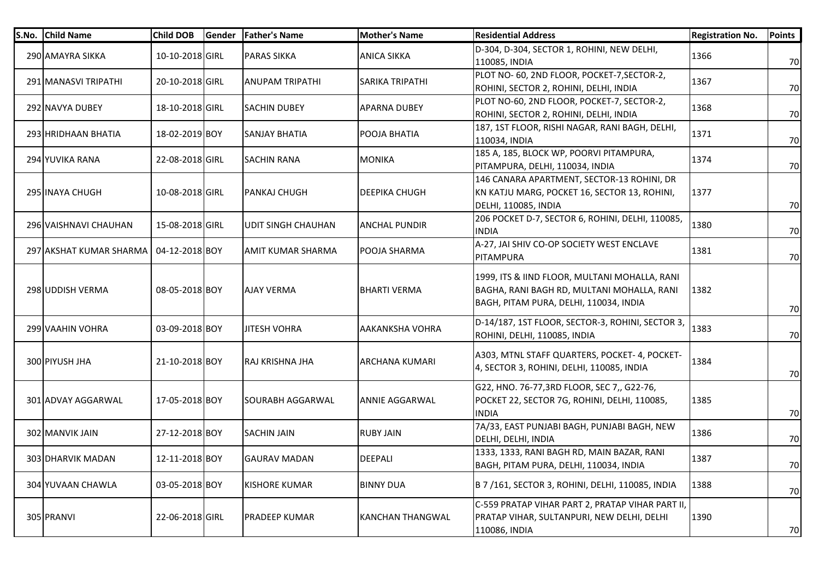| S.No. Child Name        | <b>Child DOB</b> | <b>Gender</b> | <b>Father's Name</b>      | <b>Mother's Name</b>    | <b>Residential Address</b>                                                                                                            | <b>Registration No.</b> | <b>Points</b> |
|-------------------------|------------------|---------------|---------------------------|-------------------------|---------------------------------------------------------------------------------------------------------------------------------------|-------------------------|---------------|
| 290 AMAYRA SIKKA        | 10-10-2018 GIRL  |               | <b>PARAS SIKKA</b>        | <b>ANICA SIKKA</b>      | D-304, D-304, SECTOR 1, ROHINI, NEW DELHI,<br>110085, INDIA                                                                           | 1366                    | 70            |
| 291 MANASVI TRIPATHI    | 20-10-2018 GIRL  |               | ANUPAM TRIPATHI           | <b>SARIKA TRIPATHI</b>  | PLOT NO- 60, 2ND FLOOR, POCKET-7, SECTOR-2,<br>ROHINI, SECTOR 2, ROHINI, DELHI, INDIA                                                 | 1367                    | 70            |
| 292 NAVYA DUBEY         | 18-10-2018 GIRL  |               | <b>SACHIN DUBEY</b>       | <b>APARNA DUBEY</b>     | PLOT NO-60, 2ND FLOOR, POCKET-7, SECTOR-2,<br>ROHINI, SECTOR 2, ROHINI, DELHI, INDIA                                                  | 1368                    | 70            |
| 293 HRIDHAAN BHATIA     | 18-02-2019 BOY   |               | <b>SANJAY BHATIA</b>      | POOJA BHATIA            | 187, 1ST FLOOR, RISHI NAGAR, RANI BAGH, DELHI,<br>110034, INDIA                                                                       | 1371                    | 70            |
| 294 YUVIKA RANA         | 22-08-2018 GIRL  |               | <b>SACHIN RANA</b>        | <b>MONIKA</b>           | 185 A, 185, BLOCK WP, POORVI PITAMPURA,<br>PITAMPURA, DELHI, 110034, INDIA                                                            | 1374                    | 70            |
| 295 INAYA CHUGH         | 10-08-2018 GIRL  |               | PANKAJ CHUGH              | <b>DEEPIKA CHUGH</b>    | 146 CANARA APARTMENT, SECTOR-13 ROHINI, DR<br>KN KATJU MARG, POCKET 16, SECTOR 13, ROHINI,<br>DELHI, 110085, INDIA                    | 1377                    | 70            |
| 296 VAISHNAVI CHAUHAN   | 15-08-2018 GIRL  |               | <b>UDIT SINGH CHAUHAN</b> | <b>ANCHAL PUNDIR</b>    | 206 POCKET D-7, SECTOR 6, ROHINI, DELHI, 110085,<br>INDIA                                                                             | 1380                    | 70            |
| 297 AKSHAT KUMAR SHARMA | 04-12-2018 BOY   |               | AMIT KUMAR SHARMA         | <b>POOJA SHARMA</b>     | A-27, JAI SHIV CO-OP SOCIETY WEST ENCLAVE<br>PITAMPURA                                                                                | 1381                    | 70            |
| 298 UDDISH VERMA        | 08-05-2018 BOY   |               | <b>AJAY VERMA</b>         | <b>BHARTI VERMA</b>     | 1999, ITS & IIND FLOOR, MULTANI MOHALLA, RANI<br>BAGHA, RANI BAGH RD, MULTANI MOHALLA, RANI<br>BAGH, PITAM PURA, DELHI, 110034, INDIA | 1382                    | 70            |
| 299 VAAHIN VOHRA        | 03-09-2018 BOY   |               | <b>JITESH VOHRA</b>       | <b>AAKANKSHA VOHRA</b>  | D-14/187, 1ST FLOOR, SECTOR-3, ROHINI, SECTOR 3,<br>ROHINI, DELHI, 110085, INDIA                                                      | 1383                    | 70            |
| 300 PIYUSH JHA          | 21-10-2018 BOY   |               | RAJ KRISHNA JHA           | <b>ARCHANA KUMARI</b>   | A303, MTNL STAFF QUARTERS, POCKET- 4, POCKET-<br>4, SECTOR 3, ROHINI, DELHI, 110085, INDIA                                            | 1384                    | 70            |
| 301 ADVAY AGGARWAL      | 17-05-2018 BOY   |               | <b>SOURABH AGGARWAL</b>   | <b>ANNIE AGGARWAL</b>   | G22, HNO. 76-77,3RD FLOOR, SEC 7,, G22-76,<br>POCKET 22, SECTOR 7G, ROHINI, DELHI, 110085,<br><b>INDIA</b>                            | 1385                    | 70            |
| 302 MANVIK JAIN         | 27-12-2018 BOY   |               | <b>SACHIN JAIN</b>        | <b>RUBY JAIN</b>        | 7A/33, EAST PUNJABI BAGH, PUNJABI BAGH, NEW<br>DELHI, DELHI, INDIA                                                                    | 1386                    | 70            |
| 303 DHARVIK MADAN       | 12-11-2018 BOY   |               | <b>GAURAV MADAN</b>       | <b>DEEPALI</b>          | 1333, 1333, RANI BAGH RD, MAIN BAZAR, RANI<br> BAGH, PITAM PURA, DELHI, 110034, INDIA                                                 | 1387                    | 70            |
| 304 YUVAAN CHAWLA       | 03-05-2018 BOY   |               | <b>KISHORE KUMAR</b>      | <b>BINNY DUA</b>        | B 7 /161, SECTOR 3, ROHINI, DELHI, 110085, INDIA                                                                                      | 1388                    | 70            |
| 305 PRANVI              | 22-06-2018 GIRL  |               | PRADEEP KUMAR             | <b>KANCHAN THANGWAL</b> | C-559 PRATAP VIHAR PART 2, PRATAP VIHAR PART II,<br>PRATAP VIHAR, SULTANPURI, NEW DELHI, DELHI<br>110086, INDIA                       | 1390                    | 70            |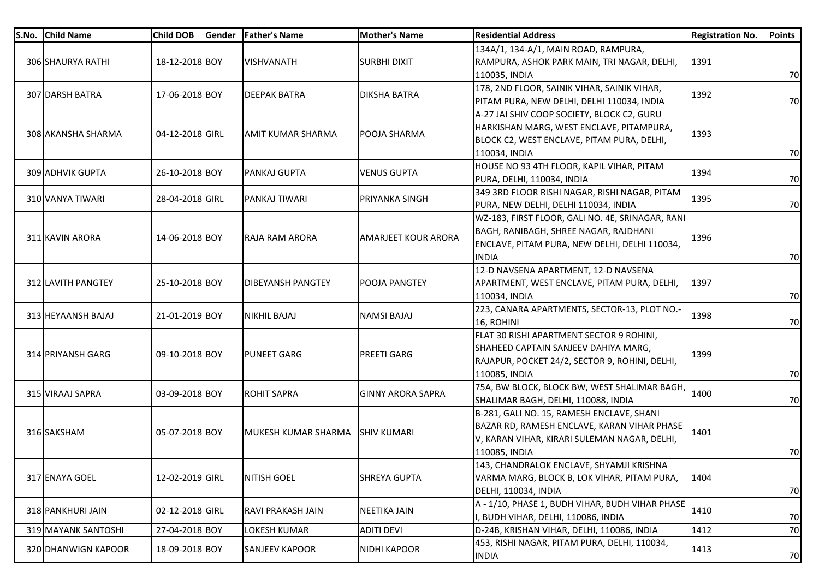| S.No. | <b>Child Name</b>   | <b>Child DOB</b> | Gender | <b>Father's Name</b>            | <b>Mother's Name</b>       | <b>Residential Address</b>                       | <b>Registration No.</b> | <b>Points</b> |
|-------|---------------------|------------------|--------|---------------------------------|----------------------------|--------------------------------------------------|-------------------------|---------------|
|       |                     |                  |        |                                 |                            | 134A/1, 134-A/1, MAIN ROAD, RAMPURA,             |                         |               |
|       | 306 SHAURYA RATHI   | 18-12-2018 BOY   |        | <b>VISHVANATH</b>               | <b>SURBHI DIXIT</b>        | RAMPURA, ASHOK PARK MAIN, TRI NAGAR, DELHI,      | 1391                    |               |
|       |                     |                  |        |                                 |                            | 110035, INDIA                                    |                         | 70            |
|       | 307 DARSH BATRA     | 17-06-2018 BOY   |        | <b>DEEPAK BATRA</b>             | <b>DIKSHA BATRA</b>        | 178, 2ND FLOOR, SAINIK VIHAR, SAINIK VIHAR,      | 1392                    |               |
|       |                     |                  |        |                                 |                            | PITAM PURA, NEW DELHI, DELHI 110034, INDIA       |                         | 70            |
|       |                     |                  |        |                                 |                            | A-27 JAI SHIV COOP SOCIETY, BLOCK C2, GURU       |                         |               |
|       | 308 AKANSHA SHARMA  | 04-12-2018 GIRL  |        | <b>AMIT KUMAR SHARMA</b>        | POOJA SHARMA               | HARKISHAN MARG, WEST ENCLAVE, PITAMPURA,         | 1393                    |               |
|       |                     |                  |        |                                 |                            | BLOCK C2, WEST ENCLAVE, PITAM PURA, DELHI,       |                         |               |
|       |                     |                  |        |                                 |                            | 110034, INDIA                                    |                         | 70            |
|       | 309 ADHVIK GUPTA    | 26-10-2018 BOY   |        | PANKAJ GUPTA                    | <b>VENUS GUPTA</b>         | HOUSE NO 93 4TH FLOOR, KAPIL VIHAR, PITAM        | 1394                    |               |
|       |                     |                  |        |                                 |                            | PURA, DELHI, 110034, INDIA                       |                         | 70            |
|       | 310 VANYA TIWARI    | 28-04-2018 GIRL  |        | PANKAJ TIWARI                   | <b>PRIYANKA SINGH</b>      | 349 3RD FLOOR RISHI NAGAR, RISHI NAGAR, PITAM    | 1395                    |               |
|       |                     |                  |        |                                 |                            | PURA, NEW DELHI, DELHI 110034, INDIA             |                         | 70            |
|       |                     |                  |        |                                 |                            | WZ-183, FIRST FLOOR, GALI NO. 4E, SRINAGAR, RANI |                         |               |
|       | 311 KAVIN ARORA     | 14-06-2018 BOY   |        | RAJA RAM ARORA                  | <b>AMARJEET KOUR ARORA</b> | BAGH, RANIBAGH, SHREE NAGAR, RAJDHANI            | 1396                    |               |
|       |                     |                  |        |                                 |                            | ENCLAVE, PITAM PURA, NEW DELHI, DELHI 110034,    |                         |               |
|       |                     |                  |        |                                 |                            | <b>INDIA</b>                                     |                         | 70            |
|       |                     |                  |        |                                 |                            | 12-D NAVSENA APARTMENT, 12-D NAVSENA             |                         |               |
|       | 312 LAVITH PANGTEY  | 25-10-2018 BOY   |        | <b>DIBEYANSH PANGTEY</b>        | POOJA PANGTEY              | APARTMENT, WEST ENCLAVE, PITAM PURA, DELHI,      | 1397                    |               |
|       |                     |                  |        |                                 |                            | 110034, INDIA                                    |                         | 70            |
|       | 313 HEYAANSH BAJAJ  | 21-01-2019 BOY   |        | <b>NIKHIL BAJAJ</b>             | <b>NAMSI BAJAJ</b>         | 223, CANARA APARTMENTS, SECTOR-13, PLOT NO.-     | 1398                    |               |
|       |                     |                  |        |                                 |                            | 16, ROHINI                                       |                         | 70            |
|       |                     |                  |        |                                 |                            | FLAT 30 RISHI APARTMENT SECTOR 9 ROHINI,         |                         |               |
|       | 314 PRIYANSH GARG   | 09-10-2018 BOY   |        | <b>PUNEET GARG</b>              | <b>PREETI GARG</b>         | SHAHEED CAPTAIN SANJEEV DAHIYA MARG,             | 1399                    |               |
|       |                     |                  |        |                                 |                            | RAJAPUR, POCKET 24/2, SECTOR 9, ROHINI, DELHI,   |                         |               |
|       |                     |                  |        |                                 |                            | 110085, INDIA                                    |                         | 70            |
|       | 315 VIRAAJ SAPRA    | 03-09-2018 BOY   |        | <b>ROHIT SAPRA</b>              | <b>GINNY ARORA SAPRA</b>   | 75A, BW BLOCK, BLOCK BW, WEST SHALIMAR BAGH,     | 1400                    |               |
|       |                     |                  |        |                                 |                            | SHALIMAR BAGH, DELHI, 110088, INDIA              |                         | 70            |
|       |                     |                  |        |                                 |                            | B-281, GALI NO. 15, RAMESH ENCLAVE, SHANI        |                         |               |
|       | 316 SAKSHAM         | 05-07-2018 BOY   |        | MUKESH KUMAR SHARMA SHIV KUMARI |                            | BAZAR RD, RAMESH ENCLAVE, KARAN VIHAR PHASE      | 1401                    |               |
|       |                     |                  |        |                                 |                            | V, KARAN VIHAR, KIRARI SULEMAN NAGAR, DELHI,     |                         |               |
|       |                     |                  |        |                                 |                            | 110085, INDIA                                    |                         | 70            |
|       |                     |                  |        |                                 |                            | 143, CHANDRALOK ENCLAVE, SHYAMJI KRISHNA         |                         |               |
|       | 317 ENAYA GOEL      | 12-02-2019 GIRL  |        | NITISH GOEL                     | <b>SHREYA GUPTA</b>        | VARMA MARG, BLOCK B, LOK VIHAR, PITAM PURA,      | 1404                    |               |
|       |                     |                  |        |                                 |                            | DELHI, 110034, INDIA                             |                         | 70            |
|       | 318 PANKHURI JAIN   | 02-12-2018 GIRL  |        | RAVI PRAKASH JAIN               | <b>NEETIKA JAIN</b>        | A - 1/10, PHASE 1, BUDH VIHAR, BUDH VIHAR PHASE  | 1410                    |               |
|       |                     |                  |        |                                 |                            | I, BUDH VIHAR, DELHI, 110086, INDIA              |                         | 70            |
|       | 319 MAYANK SANTOSHI | 27-04-2018 BOY   |        | LOKESH KUMAR                    | <b>ADITI DEVI</b>          | D-24B, KRISHAN VIHAR, DELHI, 110086, INDIA       | 1412                    | 70            |
|       | 320 DHANWIGN KAPOOR | 18-09-2018 BOY   |        | SANJEEV KAPOOR                  | <b>NIDHI KAPOOR</b>        | 453, RISHI NAGAR, PITAM PURA, DELHI, 110034,     | 1413                    |               |
|       |                     |                  |        |                                 |                            | <b>INDIA</b>                                     |                         | 70            |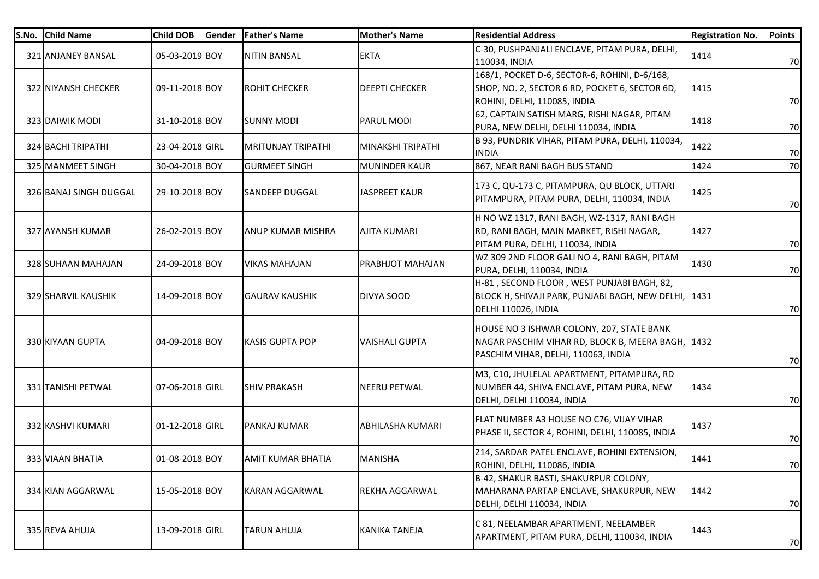| S.No. | <b>Child Name</b>      | <b>Child DOB</b> | <b>Gender</b> | <b>Father's Name</b>      | <b>Mother's Name</b>    | <b>Residential Address</b>                                                                                                            | <b>Registration No.</b> | <b>Points</b> |
|-------|------------------------|------------------|---------------|---------------------------|-------------------------|---------------------------------------------------------------------------------------------------------------------------------------|-------------------------|---------------|
|       | 321 ANJANEY BANSAL     | 05-03-2019 BOY   |               | <b>NITIN BANSAL</b>       | <b>EKTA</b>             | C-30, PUSHPANJALI ENCLAVE, PITAM PURA, DELHI,<br>110034, INDIA                                                                        | 1414                    | 70            |
|       | 322 NIYANSH CHECKER    | 09-11-2018 BOY   |               | <b>ROHIT CHECKER</b>      | <b>DEEPTI CHECKER</b>   | 168/1, POCKET D-6, SECTOR-6, ROHINI, D-6/168,<br>SHOP, NO. 2, SECTOR 6 RD, POCKET 6, SECTOR 6D,<br>ROHINI, DELHI, 110085, INDIA       | 1415                    | 70            |
|       | 323 DAIWIK MODI        | 31-10-2018 BOY   |               | SUNNY MODI                | IPARUL MODI             | 62, CAPTAIN SATISH MARG, RISHI NAGAR, PITAM<br>PURA, NEW DELHI, DELHI 110034, INDIA                                                   | 1418                    | 70            |
|       | 324 BACHI TRIPATHI     | 23-04-2018 GIRL  |               | <b>MRITUNJAY TRIPATHI</b> | İMINAKSHI TRIPATHI      | B 93, PUNDRIK VIHAR, PITAM PURA, DELHI, 110034,<br><b>INDIA</b>                                                                       | 1422                    | 70            |
|       | 325 MANMEET SINGH      | 30-04-2018 BOY   |               | <b>GURMEET SINGH</b>      | <b>MUNINDER KAUR</b>    | 867, NEAR RANI BAGH BUS STAND                                                                                                         | 1424                    | 70            |
|       | 326 BANAJ SINGH DUGGAL | 29-10-2018 BOY   |               | <b>SANDEEP DUGGAL</b>     | <b>JASPREET KAUR</b>    | 173 C, QU-173 C, PITAMPURA, QU BLOCK, UTTARI<br>PITAMPURA, PITAM PURA, DELHI, 110034, INDIA                                           | 1425                    | 70            |
|       | 327 AYANSH KUMAR       | 26-02-2019 BOY   |               | <b>ANUP KUMAR MISHRA</b>  | <b>AJITA KUMARI</b>     | H NO WZ 1317, RANI BAGH, WZ-1317, RANI BAGH<br>RD, RANI BAGH, MAIN MARKET, RISHI NAGAR,<br>PITAM PURA, DELHI, 110034, INDIA           | 1427                    | 70            |
|       | 328 SUHAAN MAHAJAN     | 24-09-2018 BOY   |               | <b>VIKAS MAHAJAN</b>      | <b>PRABHJOT MAHAJAN</b> | WZ 309 2ND FLOOR GALI NO 4, RANI BAGH, PITAM<br>PURA, DELHI, 110034, INDIA                                                            | 1430                    | 70            |
|       | 329 SHARVIL KAUSHIK    | 14-09-2018 BOY   |               | <b>GAURAV KAUSHIK</b>     | <b>DIVYA SOOD</b>       | H-81, SECOND FLOOR, WEST PUNJABI BAGH, 82,<br>BLOCK H, SHIVAJI PARK, PUNJABI BAGH, NEW DELHI, 1431<br>DELHI 110026, INDIA             |                         | 70            |
|       | 330 KIYAAN GUPTA       | 04-09-2018 BOY   |               | <b>KASIS GUPTA POP</b>    | VAISHALI GUPTA          | HOUSE NO 3 ISHWAR COLONY, 207, STATE BANK<br>NAGAR PASCHIM VIHAR RD, BLOCK B, MEERA BAGH, 1432<br>PASCHIM VIHAR, DELHI, 110063, INDIA |                         | 70            |
|       | 331 TANISHI PETWAL     | 07-06-2018 GIRL  |               | <b>SHIV PRAKASH</b>       | <b>NEERU PETWAL</b>     | M3, C10, JHULELAL APARTMENT, PITAMPURA, RD<br>NUMBER 44, SHIVA ENCLAVE, PITAM PURA, NEW<br>DELHI, DELHI 110034, INDIA                 | 1434                    | 70            |
|       | 332 KASHVI KUMARI      | 01-12-2018 GIRL  |               | <b>PANKAJ KUMAR</b>       | <b>ABHILASHA KUMARI</b> | FLAT NUMBER A3 HOUSE NO C76, VIJAY VIHAR<br>PHASE II, SECTOR 4, ROHINI, DELHI, 110085, INDIA                                          | 1437                    | 70            |
|       | 333 VIAAN BHATIA       | 01-08-2018 BOY   |               | AMIT KUMAR BHATIA         | <b>MANISHA</b>          | 214, SARDAR PATEL ENCLAVE, ROHINI EXTENSION,<br>ROHINI, DELHI, 110086, INDIA                                                          | 1441                    | 70            |
|       | 334 KIAN AGGARWAL      | 15-05-2018 BOY   |               | KARAN AGGARWAL            | <b>REKHA AGGARWAL</b>   | B-42, SHAKUR BASTI, SHAKURPUR COLONY,<br>MAHARANA PARTAP ENCLAVE, SHAKURPUR, NEW<br>DELHI, DELHI 110034, INDIA                        | 1442                    | 70            |
|       | 335 REVA AHUJA         | 13-09-2018 GIRL  |               | TARUN AHUJA               | <b>KANIKA TANEJA</b>    | C 81, NEELAMBAR APARTMENT, NEELAMBER<br>APARTMENT, PITAM PURA, DELHI, 110034, INDIA                                                   | 1443                    | 70            |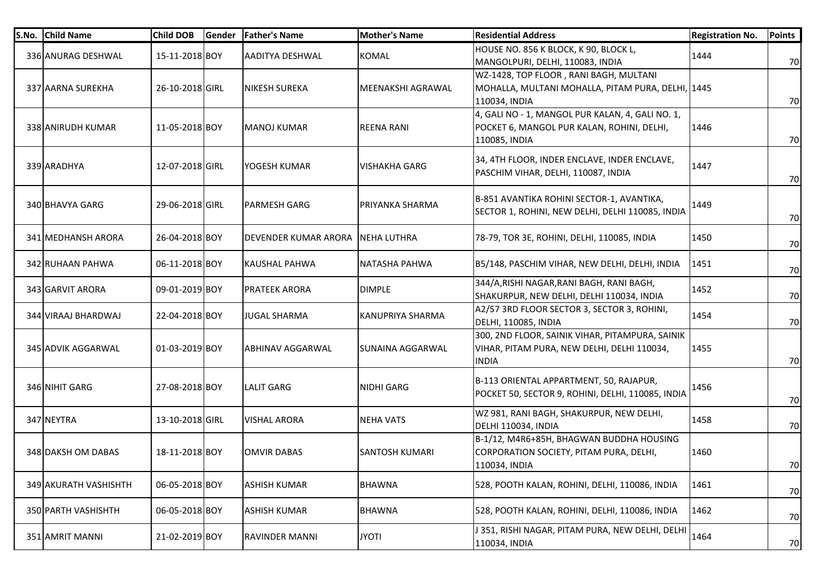| S.No. | <b>Child Name</b>     | <b>Child DOB</b> | Gender | <b>Father's Name</b>  | <b>Mother's Name</b>  | <b>Residential Address</b>                                                                                      | <b>Registration No.</b> | <b>Points</b> |
|-------|-----------------------|------------------|--------|-----------------------|-----------------------|-----------------------------------------------------------------------------------------------------------------|-------------------------|---------------|
|       | 336 ANURAG DESHWAL    | 15-11-2018 BOY   |        | AADITYA DESHWAL       | <b>KOMAL</b>          | HOUSE NO. 856 K BLOCK, K 90, BLOCK L,<br>MANGOLPURI, DELHI, 110083, INDIA                                       | 1444                    | 70            |
|       | 337 AARNA SUREKHA     | 26-10-2018 GIRL  |        | <b>NIKESH SUREKA</b>  | MEENAKSHI AGRAWAL     | WZ-1428, TOP FLOOR, RANI BAGH, MULTANI<br>MOHALLA, MULTANI MOHALLA, PITAM PURA, DELHI, 1445<br>110034, INDIA    |                         | 70            |
|       | 338 ANIRUDH KUMAR     | 11-05-2018 BOY   |        | <b>MANOJ KUMAR</b>    | <b>REENA RANI</b>     | 4, GALI NO - 1, MANGOL PUR KALAN, 4, GALI NO. 1,<br>POCKET 6, MANGOL PUR KALAN, ROHINI, DELHI,<br>110085, INDIA | 1446                    | 70            |
|       | 339 ARADHYA           | 12-07-2018 GIRL  |        | YOGESH KUMAR          | <b>VISHAKHA GARG</b>  | 34, 4TH FLOOR, INDER ENCLAVE, INDER ENCLAVE,<br>PASCHIM VIHAR, DELHI, 110087, INDIA                             | 1447                    | 70            |
|       | 340 BHAVYA GARG       | 29-06-2018 GIRL  |        | <b>PARMESH GARG</b>   | PRIYANKA SHARMA       | B-851 AVANTIKA ROHINI SECTOR-1, AVANTIKA,<br>SECTOR 1, ROHINI, NEW DELHI, DELHI 110085, INDIA                   | 1449                    | 70            |
|       | 341 MEDHANSH ARORA    | 26-04-2018 BOY   |        | DEVENDER KUMAR ARORA  | <b>NEHA LUTHRA</b>    | 78-79, TOR 3E, ROHINI, DELHI, 110085, INDIA                                                                     | 1450                    | 70            |
|       | 342 RUHAAN PAHWA      | 06-11-2018 BOY   |        | <b>KAUSHAL PAHWA</b>  | NATASHA PAHWA         | B5/148, PASCHIM VIHAR, NEW DELHI, DELHI, INDIA                                                                  | 1451                    | 70            |
|       | 343 GARVIT ARORA      | 09-01-2019 BOY   |        | <b>PRATEEK ARORA</b>  | <b>DIMPLE</b>         | 344/A, RISHI NAGAR, RANI BAGH, RANI BAGH,<br>SHAKURPUR, NEW DELHI, DELHI 110034, INDIA                          | 1452                    | 70            |
|       | 344 VIRAAJ BHARDWAJ   | 22-04-2018 BOY   |        | <b>JUGAL SHARMA</b>   | KANUPRIYA SHARMA      | A2/57 3RD FLOOR SECTOR 3, SECTOR 3, ROHINI,<br><b>DELHI, 110085, INDIA</b>                                      | 1454                    | 70            |
|       | 345 ADVIK AGGARWAL    | 01-03-2019 BOY   |        | ABHINAV AGGARWAL      | SUNAINA AGGARWAL      | 300, 2ND FLOOR, SAINIK VIHAR, PITAMPURA, SAINIK<br>VIHAR, PITAM PURA, NEW DELHI, DELHI 110034,<br><b>INDIA</b>  | 1455                    | 70            |
|       | 346 NIHIT GARG        | 27-08-2018 BOY   |        | <b>LALIT GARG</b>     | <b>NIDHI GARG</b>     | B-113 ORIENTAL APPARTMENT, 50, RAJAPUR,<br>POCKET 50, SECTOR 9, ROHINI, DELHI, 110085, INDIA                    | 1456                    | 70            |
|       | 347 NEYTRA            | 13-10-2018 GIRL  |        | <b>VISHAL ARORA</b>   | <b>NEHA VATS</b>      | WZ 981, RANI BAGH, SHAKURPUR, NEW DELHI,<br>DELHI 110034, INDIA                                                 | 1458                    | 70            |
|       | 348 DAKSH OM DABAS    | 18-11-2018 BOY   |        | <b>OMVIR DABAS</b>    | <b>SANTOSH KUMARI</b> | B-1/12, M4R6+85H, BHAGWAN BUDDHA HOUSING<br>CORPORATION SOCIETY, PITAM PURA, DELHI,<br>110034, INDIA            | 1460                    | 70            |
|       | 349 AKURATH VASHISHTH | 06-05-2018 BOY   |        | <b>ASHISH KUMAR</b>   | <b>BHAWNA</b>         | 528, POOTH KALAN, ROHINI, DELHI, 110086, INDIA                                                                  | 1461                    | 70            |
|       | 350 PARTH VASHISHTH   | 06-05-2018 BOY   |        | <b>ASHISH KUMAR</b>   | <b>BHAWNA</b>         | 528, POOTH KALAN, ROHINI, DELHI, 110086, INDIA                                                                  | 1462                    | 70            |
|       | 351 AMRIT MANNI       | 21-02-2019 BOY   |        | <b>RAVINDER MANNI</b> | <b>JYOTI</b>          | J 351, RISHI NAGAR, PITAM PURA, NEW DELHI, DELHI<br>110034, INDIA                                               | 1464                    | 70            |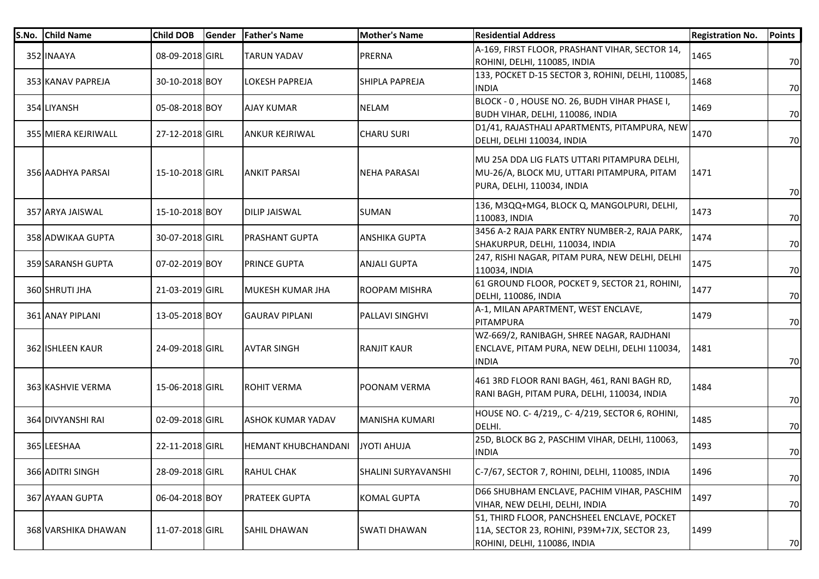| S.No. Child Name    | <b>Child DOB</b> | Gender | <b>Father's Name</b>       | <b>Mother's Name</b>       | <b>Residential Address</b>                                                                                                  | <b>Registration No.</b> | <b>Points</b> |
|---------------------|------------------|--------|----------------------------|----------------------------|-----------------------------------------------------------------------------------------------------------------------------|-------------------------|---------------|
| 352 INAAYA          | 08-09-2018 GIRL  |        | <b>TARUN YADAV</b>         | <b>PRERNA</b>              | A-169, FIRST FLOOR, PRASHANT VIHAR, SECTOR 14,<br>ROHINI, DELHI, 110085, INDIA                                              | 1465                    | 70            |
| 353 KANAV PAPREJA   | 30-10-2018 BOY   |        | LOKESH PAPREJA             | SHIPLA PAPREJA             | 133, POCKET D-15 SECTOR 3, ROHINI, DELHI, 110085,<br><b>INDIA</b>                                                           | 1468                    | 70            |
| 354 LIYANSH         | 05-08-2018 BOY   |        | <b>AJAY KUMAR</b>          | <b>NELAM</b>               | BLOCK - 0, HOUSE NO. 26, BUDH VIHAR PHASE I,<br>BUDH VIHAR, DELHI, 110086, INDIA                                            | 1469                    | 70            |
| 355 MIERA KEJRIWALL | 27-12-2018 GIRL  |        | <b>ANKUR KEJRIWAL</b>      | <b>CHARU SURI</b>          | D1/41, RAJASTHALI APARTMENTS, PITAMPURA, NEW<br>DELHI, DELHI 110034, INDIA                                                  | 1470                    | 70            |
| 356 AADHYA PARSAI   | 15-10-2018 GIRL  |        | <b>ANKIT PARSAI</b>        | <b>NEHA PARASAI</b>        | MU 25A DDA LIG FLATS UTTARI PITAMPURA DELHI,<br>MU-26/A, BLOCK MU, UTTARI PITAMPURA, PITAM<br>PURA, DELHI, 110034, INDIA    | 1471                    | 70            |
| 357 ARYA JAISWAL    | 15-10-2018 BOY   |        | <b>DILIP JAISWAL</b>       | <b>SUMAN</b>               | 136, M3QQ+MG4, BLOCK Q, MANGOLPURI, DELHI,<br>110083, INDIA                                                                 | 1473                    | 70            |
| 358 ADWIKAA GUPTA   | 30-07-2018 GIRL  |        | <b>PRASHANT GUPTA</b>      | <b>ANSHIKA GUPTA</b>       | 3456 A-2 RAJA PARK ENTRY NUMBER-2, RAJA PARK,<br>SHAKURPUR, DELHI, 110034, INDIA                                            | 1474                    | 70            |
| 359 SARANSH GUPTA   | 07-02-2019 BOY   |        | <b>PRINCE GUPTA</b>        | <b>ANJALI GUPTA</b>        | 247, RISHI NAGAR, PITAM PURA, NEW DELHI, DELHI<br>110034, INDIA                                                             | 1475                    | 70            |
| 360 SHRUTI JHA      | 21-03-2019 GIRL  |        | MUKESH KUMAR JHA           | ROOPAM MISHRA              | 61 GROUND FLOOR, POCKET 9, SECTOR 21, ROHINI,<br><b>DELHI, 110086, INDIA</b>                                                | 1477                    | 70            |
| 361 ANAY PIPLANI    | 13-05-2018 BOY   |        | <b>GAURAV PIPLANI</b>      | PALLAVI SINGHVI            | A-1, MILAN APARTMENT, WEST ENCLAVE,<br>PITAMPURA                                                                            | 1479                    | 70            |
| 362 ISHLEEN KAUR    | 24-09-2018 GIRL  |        | <b>AVTAR SINGH</b>         | <b>RANJIT KAUR</b>         | WZ-669/2, RANIBAGH, SHREE NAGAR, RAJDHANI<br>ENCLAVE, PITAM PURA, NEW DELHI, DELHI 110034,<br><b>INDIA</b>                  | 1481                    | 70            |
| 363 KASHVIE VERMA   | 15-06-2018 GIRL  |        | <b>ROHIT VERMA</b>         | <b>POONAM VERMA</b>        | 461 3RD FLOOR RANI BAGH, 461, RANI BAGH RD,<br>RANI BAGH, PITAM PURA, DELHI, 110034, INDIA                                  | 1484                    | 70            |
| 364 DIVYANSHI RAI   | 02-09-2018 GIRL  |        | <b>ASHOK KUMAR YADAV</b>   | <b>MANISHA KUMARI</b>      | HOUSE NO. C-4/219,, C-4/219, SECTOR 6, ROHINI,<br>DELHI.                                                                    | 1485                    | 70            |
| 365 LEESHAA         | 22-11-2018 GIRL  |        | <b>HEMANT KHUBCHANDANI</b> | <b>JYOTI AHUJA</b>         | 25D, BLOCK BG 2, PASCHIM VIHAR, DELHI, 110063,<br><b>INDIA</b>                                                              | 1493                    | 70            |
| 366 ADITRI SINGH    | 28-09-2018 GIRL  |        | <b>RAHUL CHAK</b>          | <b>SHALINI SURYAVANSHI</b> | C-7/67, SECTOR 7, ROHINI, DELHI, 110085, INDIA                                                                              | 1496                    | 70            |
| 367 AYAAN GUPTA     | 06-04-2018 BOY   |        | <b>PRATEEK GUPTA</b>       | <b>KOMAL GUPTA</b>         | D66 SHUBHAM ENCLAVE, PACHIM VIHAR, PASCHIM<br>VIHAR, NEW DELHI, DELHI, INDIA                                                | 1497                    | 70            |
| 368 VARSHIKA DHAWAN | 11-07-2018 GIRL  |        | <b>SAHIL DHAWAN</b>        | <b>SWATI DHAWAN</b>        | 51, THIRD FLOOR, PANCHSHEEL ENCLAVE, POCKET<br>11A, SECTOR 23, ROHINI, P39M+7JX, SECTOR 23,<br>ROHINI, DELHI, 110086, INDIA | 1499                    | 70            |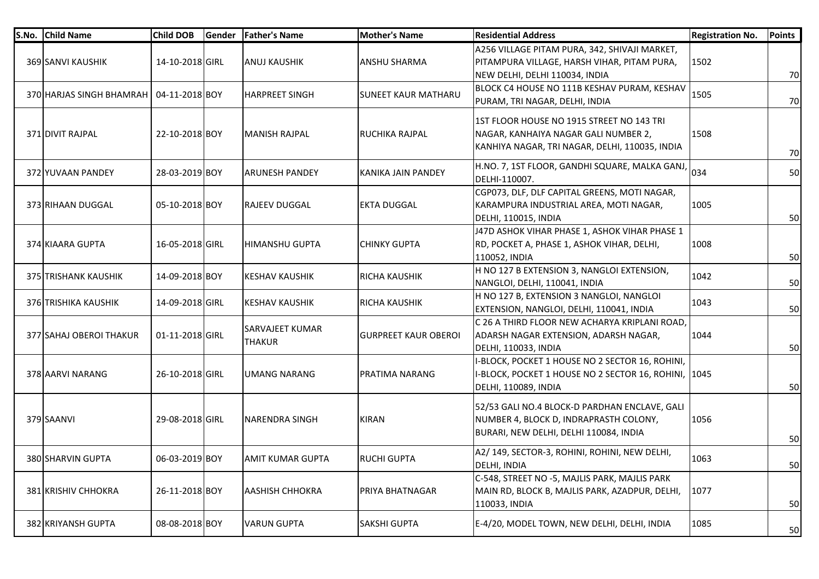| S.No. | <b>Child Name</b>                         | <b>Child DOB</b> | Gender | <b>Father's Name</b>                    | <b>Mother's Name</b>         | <b>Residential Address</b>                                                                                                             | <b>Registration No.</b> | <b>Points</b> |
|-------|-------------------------------------------|------------------|--------|-----------------------------------------|------------------------------|----------------------------------------------------------------------------------------------------------------------------------------|-------------------------|---------------|
|       | 369 SANVI KAUSHIK                         | 14-10-2018 GIRL  |        | ANUJ KAUSHIK                            | <b>ANSHU SHARMA</b>          | A256 VILLAGE PITAM PURA, 342, SHIVAJI MARKET,<br>PITAMPURA VILLAGE, HARSH VIHAR, PITAM PURA,<br>NEW DELHI, DELHI 110034, INDIA         | 1502                    | 70            |
|       | 370 HARJAS SINGH BHAMRAH   04-11-2018 BOY |                  |        | <b>HARPREET SINGH</b>                   | <b>I</b> SUNEET KAUR MATHARU | BLOCK C4 HOUSE NO 111B KESHAV PURAM, KESHAV<br>PURAM, TRI NAGAR, DELHI, INDIA                                                          | 1505                    | 70            |
|       | 371 DIVIT RAJPAL                          | 22-10-2018 BOY   |        | <b>MANISH RAJPAL</b>                    | RUCHIKA RAJPAL               | 1ST FLOOR HOUSE NO 1915 STREET NO 143 TRI<br>NAGAR, KANHAIYA NAGAR GALI NUMBER 2,<br>KANHIYA NAGAR, TRI NAGAR, DELHI, 110035, INDIA    | 1508                    | 70            |
|       | 372 YUVAAN PANDEY                         | 28-03-2019 BOY   |        | <b>ARUNESH PANDEY</b>                   | KANIKA JAIN PANDEY           | H.NO. 7, 1ST FLOOR, GANDHI SQUARE, MALKA GANJ,<br>DELHI-110007.                                                                        | 034                     | 50            |
|       | 373 RIHAAN DUGGAL                         | 05-10-2018 BOY   |        | <b>RAJEEV DUGGAL</b>                    | <b>EKTA DUGGAL</b>           | CGP073, DLF, DLF CAPITAL GREENS, MOTI NAGAR,<br>KARAMPURA INDUSTRIAL AREA, MOTI NAGAR,<br><b>DELHI, 110015, INDIA</b>                  | 1005                    | 50            |
|       | 374 KIAARA GUPTA                          | 16-05-2018 GIRL  |        | <b>HIMANSHU GUPTA</b>                   | <b>CHINKY GUPTA</b>          | J47D ASHOK VIHAR PHASE 1, ASHOK VIHAR PHASE 1<br>RD, POCKET A, PHASE 1, ASHOK VIHAR, DELHI,<br>110052, INDIA                           | 1008                    | 50            |
|       | 375 TRISHANK KAUSHIK                      | 14-09-2018 BOY   |        | <b>KESHAV KAUSHIK</b>                   | <b>RICHA KAUSHIK</b>         | H NO 127 B EXTENSION 3, NANGLOI EXTENSION,<br>NANGLOI, DELHI, 110041, INDIA                                                            | 1042                    | 50            |
|       | 376 TRISHIKA KAUSHIK                      | 14-09-2018 GIRL  |        | KESHAV KAUSHIK                          | RICHA KAUSHIK                | H NO 127 B, EXTENSION 3 NANGLOI, NANGLOI<br>EXTENSION, NANGLOI, DELHI, 110041, INDIA                                                   | 1043                    | 50            |
|       | 377 SAHAJ OBEROI THAKUR                   | 01-11-2018 GIRL  |        | <b>SARVAJEET KUMAR</b><br><b>THAKUR</b> | <b>GURPREET KAUR OBEROI</b>  | C 26 A THIRD FLOOR NEW ACHARYA KRIPLANI ROAD,<br>ADARSH NAGAR EXTENSION, ADARSH NAGAR,<br>DELHI, 110033, INDIA                         | 1044                    | 50            |
|       | 378 AARVI NARANG                          | 26-10-2018 GIRL  |        | UMANG NARANG                            | <b>PRATIMA NARANG</b>        | I-BLOCK, POCKET 1 HOUSE NO 2 SECTOR 16, ROHINI,<br>I-BLOCK, POCKET 1 HOUSE NO 2 SECTOR 16, ROHINI, 1045<br><b>DELHI, 110089, INDIA</b> |                         | 50            |
|       | 379 SAANVI                                | 29-08-2018 GIRL  |        | <b>NARENDRA SINGH</b>                   | <b>KIRAN</b>                 | 52/53 GALI NO.4 BLOCK-D PARDHAN ENCLAVE, GALI<br>NUMBER 4, BLOCK D, INDRAPRASTH COLONY,<br>BURARI, NEW DELHI, DELHI 110084, INDIA      | 1056                    | 50            |
|       | 380 SHARVIN GUPTA                         | 06-03-2019 BOY   |        | IAMIT KUMAR GUPTA                       | <b>RUCHI GUPTA</b>           | A2/149, SECTOR-3, ROHINI, ROHINI, NEW DELHI,<br> DELHI, INDIA                                                                          | 1063                    | 50            |
|       | 381 KRISHIV CHHOKRA                       | 26-11-2018 BOY   |        | <b>AASHISH CHHOKRA</b>                  | PRIYA BHATNAGAR              | C-548, STREET NO -5, MAJLIS PARK, MAJLIS PARK<br>MAIN RD, BLOCK B, MAJLIS PARK, AZADPUR, DELHI,<br>110033, INDIA                       | 1077                    | 50            |
|       | 382 KRIYANSH GUPTA                        | 08-08-2018 BOY   |        | <b>VARUN GUPTA</b>                      | <b>SAKSHI GUPTA</b>          | E-4/20, MODEL TOWN, NEW DELHI, DELHI, INDIA                                                                                            | 1085                    | 50            |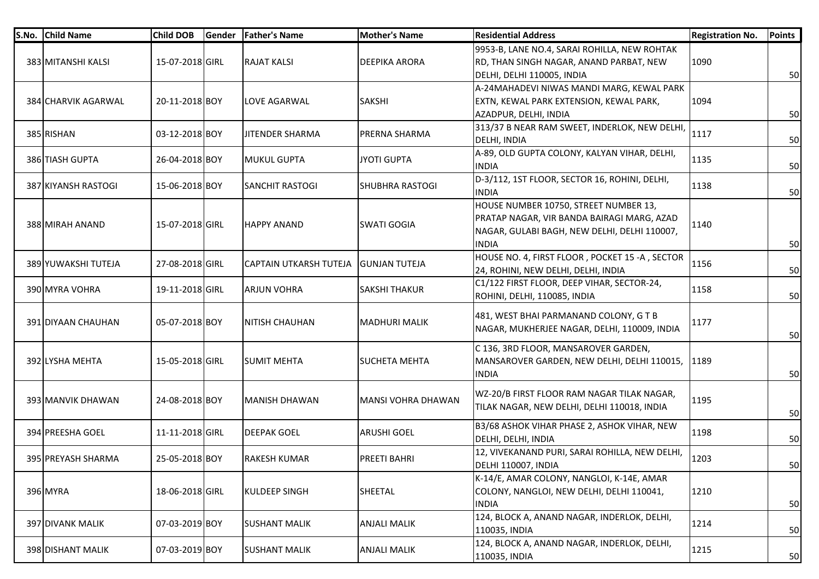| S.No. | <b>Child Name</b>   | <b>Child DOB</b> | Gender | <b>Father's Name</b>          | Mother's Name          | <b>Residential Address</b>                                                                                                                          | <b>Registration No.</b> | <b>Points</b> |
|-------|---------------------|------------------|--------|-------------------------------|------------------------|-----------------------------------------------------------------------------------------------------------------------------------------------------|-------------------------|---------------|
|       | 383 MITANSHI KALSI  | 15-07-2018 GIRL  |        | <b>RAJAT KALSI</b>            | <b>DEEPIKA ARORA</b>   | 9953-B, LANE NO.4, SARAI ROHILLA, NEW ROHTAK<br>RD, THAN SINGH NAGAR, ANAND PARBAT, NEW<br>DELHI, DELHI 110005, INDIA                               | 1090                    | 50            |
|       | 384 CHARVIK AGARWAL | 20-11-2018 BOY   |        | LOVE AGARWAL                  | <b>SAKSHI</b>          | A-24MAHADEVI NIWAS MANDI MARG, KEWAL PARK<br>EXTN, KEWAL PARK EXTENSION, KEWAL PARK,<br>AZADPUR, DELHI, INDIA                                       | 1094                    | 50            |
|       | 385 RISHAN          | 03-12-2018 BOY   |        | <b>JITENDER SHARMA</b>        | <b>PRERNA SHARMA</b>   | 313/37 B NEAR RAM SWEET, INDERLOK, NEW DELHI,<br>DELHI, INDIA                                                                                       | 1117                    | 50            |
|       | 386 TIASH GUPTA     | 26-04-2018 BOY   |        | <b>MUKUL GUPTA</b>            | <b>JYOTI GUPTA</b>     | A-89, OLD GUPTA COLONY, KALYAN VIHAR, DELHI,<br><b>INDIA</b>                                                                                        | 1135                    | 50            |
|       | 387 KIYANSH RASTOGI | 15-06-2018 BOY   |        | <b>SANCHIT RASTOGI</b>        | <b>SHUBHRA RASTOGI</b> | D-3/112, 1ST FLOOR, SECTOR 16, ROHINI, DELHI,<br><b>INDIA</b>                                                                                       | 1138                    | 50            |
|       | 388 MIRAH ANAND     | 15-07-2018 GIRL  |        | IHAPPY ANAND                  | <b>SWATI GOGIA</b>     | HOUSE NUMBER 10750, STREET NUMBER 13,<br>PRATAP NAGAR, VIR BANDA BAIRAGI MARG, AZAD<br>NAGAR, GULABI BAGH, NEW DELHI, DELHI 110007,<br><b>INDIA</b> | 1140                    | 50            |
|       | 389 YUWAKSHI TUTEJA | 27-08-2018 GIRL  |        | <b>CAPTAIN UTKARSH TUTEJA</b> | <b>GUNJAN TUTEJA</b>   | HOUSE NO. 4, FIRST FLOOR, POCKET 15 -A, SECTOR<br>24, ROHINI, NEW DELHI, DELHI, INDIA                                                               | 1156                    | 50            |
|       | 390 MYRA VOHRA      | 19-11-2018 GIRL  |        | <b>ARJUN VOHRA</b>            | <b>SAKSHI THAKUR</b>   | C1/122 FIRST FLOOR, DEEP VIHAR, SECTOR-24,<br>ROHINI, DELHI, 110085, INDIA                                                                          | 1158                    | 50            |
|       | 391 DIYAAN CHAUHAN  | 05-07-2018 BOY   |        | <b>NITISH CHAUHAN</b>         | MADHURI MALIK          | 481, WEST BHAI PARMANAND COLONY, GTB<br>NAGAR, MUKHERJEE NAGAR, DELHI, 110009, INDIA                                                                | 1177                    | 50            |
|       | 392 LYSHA MEHTA     | 15-05-2018 GIRL  |        | <b>SUMIT MEHTA</b>            | <b>SUCHETA MEHTA</b>   | C 136, 3RD FLOOR, MANSAROVER GARDEN,<br>MANSAROVER GARDEN, NEW DELHI, DELHI 110015,<br><b>INDIA</b>                                                 | 1189                    | 50            |
|       | 393 MANVIK DHAWAN   | 24-08-2018 BOY   |        | MANISH DHAWAN                 | MANSI VOHRA DHAWAN     | WZ-20/B FIRST FLOOR RAM NAGAR TILAK NAGAR,<br>TILAK NAGAR, NEW DELHI, DELHI 110018, INDIA                                                           | 1195                    | 50            |
|       | 394 PREESHA GOEL    | 11-11-2018 GIRL  |        | <b>DEEPAK GOEL</b>            | <b>ARUSHI GOEL</b>     | B3/68 ASHOK VIHAR PHASE 2, ASHOK VIHAR, NEW<br>DELHI, DELHI, INDIA                                                                                  | 1198                    | 50            |
|       | 395 PREYASH SHARMA  | 25-05-2018 BOY   |        | <b>RAKESH KUMAR</b>           | <b>PREETI BAHRI</b>    | 12, VIVEKANAND PURI, SARAI ROHILLA, NEW DELHI,<br>DELHI 110007, INDIA                                                                               | 1203                    | 50            |
|       | 396 MYRA            | 18-06-2018 GIRL  |        | <b>KULDEEP SINGH</b>          | <b>SHEETAL</b>         | K-14/E, AMAR COLONY, NANGLOI, K-14E, AMAR<br>COLONY, NANGLOI, NEW DELHI, DELHI 110041,<br><b>INDIA</b>                                              | 1210                    | 50            |
|       | 397 DIVANK MALIK    | 07-03-2019 BOY   |        | <b>SUSHANT MALIK</b>          | <b>ANJALI MALIK</b>    | 124, BLOCK A, ANAND NAGAR, INDERLOK, DELHI,<br>110035, INDIA                                                                                        | 1214                    | 50            |
|       | 398 DISHANT MALIK   | 07-03-2019 BOY   |        | <b>SUSHANT MALIK</b>          | <b>ANJALI MALIK</b>    | 124, BLOCK A, ANAND NAGAR, INDERLOK, DELHI,<br>110035, INDIA                                                                                        | 1215                    | 50            |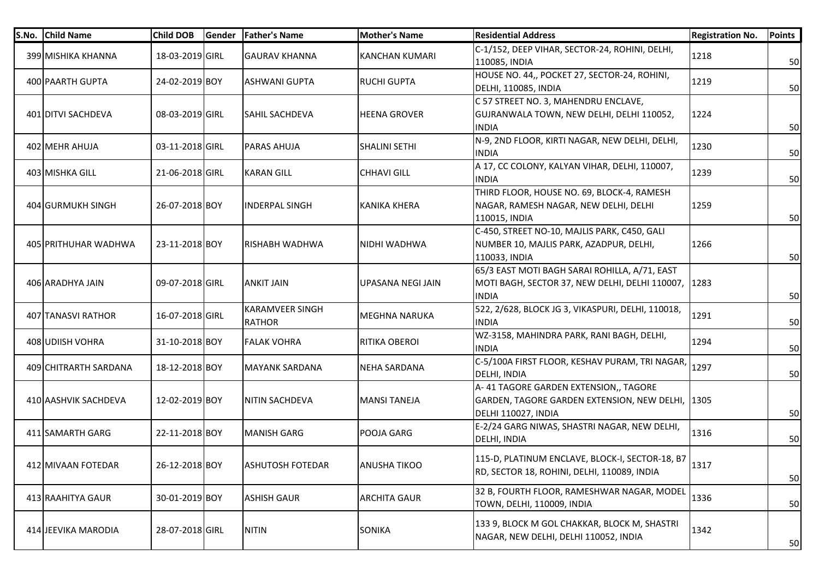| S.No. Child Name      | <b>Child DOB</b> | Gender | <b>Father's Name</b>                    | <b>Mother's Name</b>  | <b>Residential Address</b>                                                                                           | <b>Registration No.</b> | <b>Points</b> |
|-----------------------|------------------|--------|-----------------------------------------|-----------------------|----------------------------------------------------------------------------------------------------------------------|-------------------------|---------------|
| 399 MISHIKA KHANNA    | 18-03-2019 GIRL  |        | <b>GAURAV KHANNA</b>                    | <b>KANCHAN KUMARI</b> | C-1/152, DEEP VIHAR, SECTOR-24, ROHINI, DELHI,<br>110085, INDIA                                                      | 1218                    | 50            |
| 400 PAARTH GUPTA      | 24-02-2019 BOY   |        | <b>ASHWANI GUPTA</b>                    | <b>RUCHI GUPTA</b>    | HOUSE NO. 44,, POCKET 27, SECTOR-24, ROHINI,<br>DELHI, 110085, INDIA                                                 | 1219                    | 50            |
| 401 DITVI SACHDEVA    | 08-03-2019 GIRL  |        | <b>SAHIL SACHDEVA</b>                   | <b>HEENA GROVER</b>   | C 57 STREET NO. 3, MAHENDRU ENCLAVE,<br>GUJRANWALA TOWN, NEW DELHI, DELHI 110052,<br><b>INDIA</b>                    | 1224                    | 50            |
| 402 MEHR AHUJA        | 03-11-2018 GIRL  |        | <b>PARAS AHUJA</b>                      | <b>SHALINI SETHI</b>  | N-9, 2ND FLOOR, KIRTI NAGAR, NEW DELHI, DELHI,<br>INDIA                                                              | 1230                    | 50            |
| 403 MISHKA GILL       | 21-06-2018 GIRL  |        | <b>KARAN GILL</b>                       | <b>CHHAVI GILL</b>    | A 17, CC COLONY, KALYAN VIHAR, DELHI, 110007,<br>INDIA                                                               | 1239                    | 50            |
| 404 GURMUKH SINGH     | 26-07-2018 BOY   |        | IINDERPAL SINGH                         | <b>KANIKA KHERA</b>   | THIRD FLOOR, HOUSE NO. 69, BLOCK-4, RAMESH<br>NAGAR, RAMESH NAGAR, NEW DELHI, DELHI<br>110015, INDIA                 | 1259                    | 50            |
| 405 PRITHUHAR WADHWA  | 23-11-2018 BOY   |        | RISHABH WADHWA                          | NIDHI WADHWA          | C-450, STREET NO-10, MAJLIS PARK, C450, GALI<br>NUMBER 10, MAJLIS PARK, AZADPUR, DELHI,<br>110033, INDIA             | 1266                    | 50            |
| 406 ARADHYA JAIN      | 09-07-2018 GIRL  |        | <b>ANKIT JAIN</b>                       | UPASANA NEGI JAIN     | 65/3 EAST MOTI BAGH SARAI ROHILLA, A/71, EAST<br>MOTI BAGH, SECTOR 37, NEW DELHI, DELHI 110007, 1283<br><b>INDIA</b> |                         | 50            |
| 407 TANASVI RATHOR    | 16-07-2018 GIRL  |        | <b>KARAMVEER SINGH</b><br><b>RATHOR</b> | <b>MEGHNA NARUKA</b>  | 522, 2/628, BLOCK JG 3, VIKASPURI, DELHI, 110018,<br><b>INDIA</b>                                                    | 1291                    | 50            |
| 408 UDIISH VOHRA      | 31-10-2018 BOY   |        | <b>FALAK VOHRA</b>                      | <b>RITIKA OBEROI</b>  | WZ-3158, MAHINDRA PARK, RANI BAGH, DELHI,<br>INDIA                                                                   | 1294                    | 50            |
| 409 CHITRARTH SARDANA | 18-12-2018 BOY   |        | <b>MAYANK SARDANA</b>                   | NEHA SARDANA          | C-5/100A FIRST FLOOR, KESHAV PURAM, TRI NAGAR,<br><b>DELHI, INDIA</b>                                                | 1297                    | 50            |
| 410 AASHVIK SACHDEVA  | 12-02-2019 BOY   |        | NITIN SACHDEVA                          | <b>MANSI TANEJA</b>   | A-41 TAGORE GARDEN EXTENSION,, TAGORE<br>GARDEN, TAGORE GARDEN EXTENSION, NEW DELHI, 1305<br>DELHI 110027, INDIA     |                         | 50            |
| 411 SAMARTH GARG      | 22-11-2018 BOY   |        | <b>MANISH GARG</b>                      | POOJA GARG            | E-2/24 GARG NIWAS, SHASTRI NAGAR, NEW DELHI,<br>DELHI, INDIA                                                         | 1316                    | 50            |
| 412 MIVAAN FOTEDAR    | 26-12-2018 BOY   |        | <b>ASHUTOSH FOTEDAR</b>                 | <b>ANUSHA TIKOO</b>   | 115-D, PLATINUM ENCLAVE, BLOCK-I, SECTOR-18, B7<br>RD, SECTOR 18, ROHINI, DELHI, 110089, INDIA                       | 1317                    | 50            |
| 413 RAAHITYA GAUR     | 30-01-2019 BOY   |        | <b>ASHISH GAUR</b>                      | <b>ARCHITA GAUR</b>   | 32 B, FOURTH FLOOR, RAMESHWAR NAGAR, MODEL<br>TOWN, DELHI, 110009, INDIA                                             | 1336                    | 50            |
| 414 JEEVIKA MARODIA   | 28-07-2018 GIRL  |        | <b>NITIN</b>                            | <b>SONIKA</b>         | 133 9, BLOCK M GOL CHAKKAR, BLOCK M, SHASTRI<br>NAGAR, NEW DELHI, DELHI 110052, INDIA                                | 1342                    | 50            |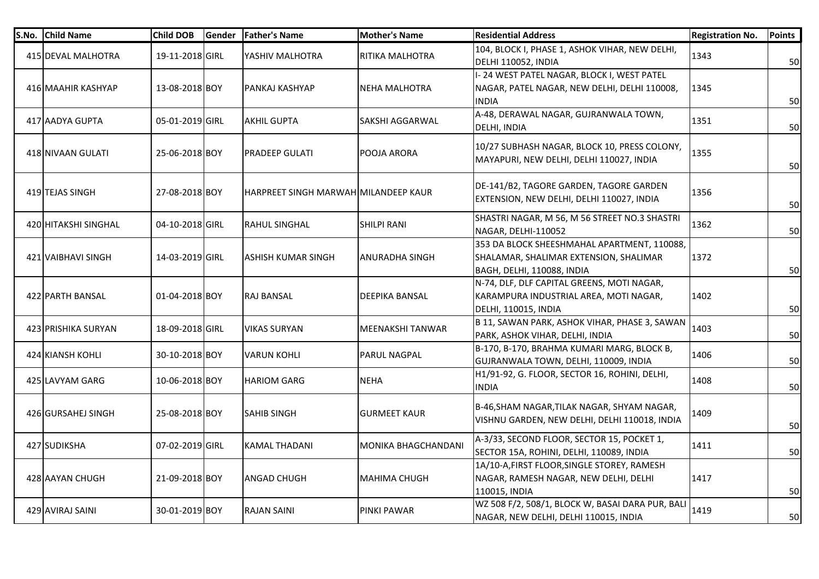| S.No. | <b>Child Name</b>    | Child DOB       | Gender | <b>Father's Name</b>                 | <b>Mother's Name</b>    | <b>Residential Address</b>                                                                                          | <b>Registration No.</b> | <b>Points</b> |
|-------|----------------------|-----------------|--------|--------------------------------------|-------------------------|---------------------------------------------------------------------------------------------------------------------|-------------------------|---------------|
|       | 415 DEVAL MALHOTRA   | 19-11-2018 GIRL |        | YASHIV MALHOTRA                      | <b>RITIKA MALHOTRA</b>  | 104, BLOCK I, PHASE 1, ASHOK VIHAR, NEW DELHI,<br>DELHI 110052, INDIA                                               | 1343                    | 50            |
|       | 416 MAAHIR KASHYAP   | 13-08-2018 BOY  |        | PANKAJ KASHYAP                       | <b>NEHA MALHOTRA</b>    | I-24 WEST PATEL NAGAR, BLOCK I, WEST PATEL<br>NAGAR, PATEL NAGAR, NEW DELHI, DELHI 110008,<br><b>INDIA</b>          | 1345                    | 50            |
|       | 417 AADYA GUPTA      | 05-01-2019 GIRL |        | AKHIL GUPTA                          | SAKSHI AGGARWAL         | A-48, DERAWAL NAGAR, GUJRANWALA TOWN,<br>DELHI, INDIA                                                               | 1351                    | 50            |
|       | 418 NIVAAN GULATI    | 25-06-2018 BOY  |        | <b>PRADEEP GULATI</b>                | POOJA ARORA             | 10/27 SUBHASH NAGAR, BLOCK 10, PRESS COLONY,<br>MAYAPURI, NEW DELHI, DELHI 110027, INDIA                            | 1355                    | 50            |
|       | 419 TEJAS SINGH      | 27-08-2018 BOY  |        | HARPREET SINGH MARWAH MILANDEEP KAUR |                         | DE-141/B2, TAGORE GARDEN, TAGORE GARDEN<br>EXTENSION, NEW DELHI, DELHI 110027, INDIA                                | 1356                    | 50            |
|       | 420 HITAKSHI SINGHAL | 04-10-2018 GIRL |        | <b>RAHUL SINGHAL</b>                 | <b>SHILPI RANI</b>      | SHASTRI NAGAR, M 56, M 56 STREET NO.3 SHASTRI<br>NAGAR, DELHI-110052                                                | 1362                    | 50            |
|       | 421 VAIBHAVI SINGH   | 14-03-2019 GIRL |        | ASHISH KUMAR SINGH                   | <b>ANURADHA SINGH</b>   | 353 DA BLOCK SHEESHMAHAL APARTMENT, 110088,<br>SHALAMAR, SHALIMAR EXTENSION, SHALIMAR<br>BAGH, DELHI, 110088, INDIA | 1372                    | 50            |
|       | 422 PARTH BANSAL     | 01-04-2018 BOY  |        | <b>RAJ BANSAL</b>                    | DEEPIKA BANSAL          | N-74, DLF, DLF CAPITAL GREENS, MOTI NAGAR,<br>KARAMPURA INDUSTRIAL AREA, MOTI NAGAR,<br><b>DELHI, 110015, INDIA</b> | 1402                    | 50            |
|       | 423 PRISHIKA SURYAN  | 18-09-2018 GIRL |        | VIKAS SURYAN                         | <b>MEENAKSHI TANWAR</b> | B 11, SAWAN PARK, ASHOK VIHAR, PHASE 3, SAWAN<br>PARK, ASHOK VIHAR, DELHI, INDIA                                    | 1403                    | 50            |
|       | 424 KIANSH KOHLI     | 30-10-2018 BOY  |        | VARUN KOHLI                          | <b>PARUL NAGPAL</b>     | B-170, B-170, BRAHMA KUMARI MARG, BLOCK B,<br>GUJRANWALA TOWN, DELHI, 110009, INDIA                                 | 1406                    | 50            |
|       | 425 LAVYAM GARG      | 10-06-2018 BOY  |        | HARIOM GARG                          | <b>NEHA</b>             | H1/91-92, G. FLOOR, SECTOR 16, ROHINI, DELHI,<br><b>INDIA</b>                                                       | 1408                    | 50            |
|       | 426 GURSAHEJ SINGH   | 25-08-2018 BOY  |        | SAHIB SINGH                          | <b>GURMEET KAUR</b>     | B-46, SHAM NAGAR, TILAK NAGAR, SHYAM NAGAR,<br>VISHNU GARDEN, NEW DELHI, DELHI 110018, INDIA                        | 1409                    | 50            |
|       | 427 SUDIKSHA         | 07-02-2019 GIRL |        | KAMAL THADANI                        | MONIKA BHAGCHANDANI     | A-3/33, SECOND FLOOR, SECTOR 15, POCKET 1,<br>SECTOR 15A, ROHINI, DELHI, 110089, INDIA                              | 1411                    | 50            |
|       | 428 AAYAN CHUGH      | 21-09-2018 BOY  |        | ANGAD CHUGH                          | <b>MAHIMA CHUGH</b>     | 1A/10-A, FIRST FLOOR, SINGLE STOREY, RAMESH<br>NAGAR, RAMESH NAGAR, NEW DELHI, DELHI<br>110015, INDIA               | 1417                    | 50            |
|       | 429 AVIRAJ SAINI     | 30-01-2019 BOY  |        | <b>RAJAN SAINI</b>                   | <b>PINKI PAWAR</b>      | WZ 508 F/2, 508/1, BLOCK W, BASAI DARA PUR, BALI<br>NAGAR, NEW DELHI, DELHI 110015, INDIA                           | 1419                    | 50            |